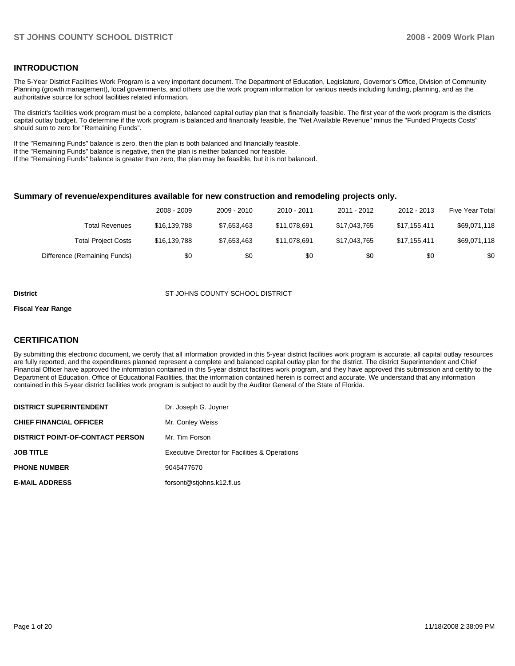#### **INTRODUCTION**

The 5-Year District Facilities Work Program is a very important document. The Department of Education, Legislature, Governor's Office, Division of Community Planning (growth management), local governments, and others use the work program information for various needs including funding, planning, and as the authoritative source for school facilities related information.

The district's facilities work program must be a complete, balanced capital outlay plan that is financially feasible. The first year of the work program is the districts capital outlay budget. To determine if the work program is balanced and financially feasible, the "Net Available Revenue" minus the "Funded Projects Costs" should sum to zero for "Remaining Funds".

If the "Remaining Funds" balance is zero, then the plan is both balanced and financially feasible.

If the "Remaining Funds" balance is negative, then the plan is neither balanced nor feasible.

If the "Remaining Funds" balance is greater than zero, the plan may be feasible, but it is not balanced.

#### **Summary of revenue/expenditures available for new construction and remodeling projects only.**

|                              | 2008 - 2009  | 2009 - 2010 | 2010 - 2011  | 2011 - 2012  | 2012 - 2013  | <b>Five Year Total</b> |
|------------------------------|--------------|-------------|--------------|--------------|--------------|------------------------|
| Total Revenues               | \$16,139,788 | \$7,653,463 | \$11.078.691 | \$17.043.765 | \$17.155.411 | \$69,071,118           |
| <b>Total Project Costs</b>   | \$16,139,788 | \$7,653,463 | \$11.078.691 | \$17.043.765 | \$17.155.411 | \$69,071,118           |
| Difference (Remaining Funds) | \$0          | \$0         | \$0          | \$0          | \$0          | \$0                    |

#### **District COUNTY ST JOHNS COUNTY SCHOOL DISTRICT**

#### **Fiscal Year Range**

#### **CERTIFICATION**

By submitting this electronic document, we certify that all information provided in this 5-year district facilities work program is accurate, all capital outlay resources are fully reported, and the expenditures planned represent a complete and balanced capital outlay plan for the district. The district Superintendent and Chief Financial Officer have approved the information contained in this 5-year district facilities work program, and they have approved this submission and certify to the Department of Education, Office of Educational Facilities, that the information contained herein is correct and accurate. We understand that any information contained in this 5-year district facilities work program is subject to audit by the Auditor General of the State of Florida.

| <b>DISTRICT SUPERINTENDENT</b>          | Dr. Joseph G. Joyner                           |
|-----------------------------------------|------------------------------------------------|
| <b>CHIEF FINANCIAL OFFICER</b>          | Mr. Conley Weiss                               |
| <b>DISTRICT POINT-OF-CONTACT PERSON</b> | Mr. Tim Forson                                 |
| JOB TITLE                               | Executive Director for Facilities & Operations |
| <b>PHONE NUMBER</b>                     | 9045477670                                     |
| <b>E-MAIL ADDRESS</b>                   | forsont@stjohns.k12.fl.us                      |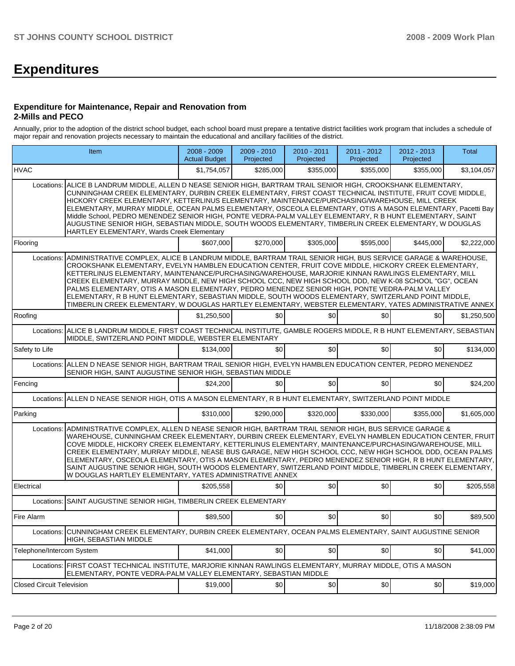# **Expenditures**

#### **Expenditure for Maintenance, Repair and Renovation from 2-Mills and PECO**

Annually, prior to the adoption of the district school budget, each school board must prepare a tentative district facilities work program that includes a schedule of major repair and renovation projects necessary to maintain the educational and ancillary facilities of the district.

|                                                                                                                                                                                   | Item                                                                                                                                                                                                                                                                                                                                                                                                                                                                                                                                                                                                                                                                                                                                                      | 2008 - 2009<br><b>Actual Budget</b> | 2009 - 2010<br>Projected | 2010 - 2011<br>Projected | 2011 - 2012<br>Projected | 2012 - 2013<br>Projected | Total       |  |
|-----------------------------------------------------------------------------------------------------------------------------------------------------------------------------------|-----------------------------------------------------------------------------------------------------------------------------------------------------------------------------------------------------------------------------------------------------------------------------------------------------------------------------------------------------------------------------------------------------------------------------------------------------------------------------------------------------------------------------------------------------------------------------------------------------------------------------------------------------------------------------------------------------------------------------------------------------------|-------------------------------------|--------------------------|--------------------------|--------------------------|--------------------------|-------------|--|
| <b>HVAC</b>                                                                                                                                                                       |                                                                                                                                                                                                                                                                                                                                                                                                                                                                                                                                                                                                                                                                                                                                                           | \$1,754,057                         | \$285,000                | \$355,000                | \$355,000                | \$355,000                | \$3,104,057 |  |
| Locations:                                                                                                                                                                        | ALICE B LANDRUM MIDDLE, ALLEN D NEASE SENIOR HIGH, BARTRAM TRAIL SENIOR HIGH, CROOKSHANK ELEMENTARY,<br>CUNNINGHAM CREEK ELEMENTARY, DURBIN CREEK ELEMENTARY, FIRST COAST TECHNICAL INSTITUTE, FRUIT COVE MIDDLE,<br>HICKORY CREEK ELEMENTARY, KETTERLINUS ELEMENTARY, MAINTENANCE/PURCHASING/WAREHOUSE, MILL CREEK<br>ELEMENTARY, MURRAY MIDDLE, OCEAN PALMS ELEMENTARY, OSCEOLA ELEMENTARY, OTIS A MASON ELEMENTARY, Pacetti Bay<br>Middle School, PEDRO MENENDEZ SENIOR HIGH, PONTE VEDRA-PALM VALLEY ELEMENTARY, R B HUNT ELEMENTARY, SAINT<br>AUGUSTINE SENIOR HIGH, SEBASTIAN MIDDLE, SOUTH WOODS ELEMENTARY, TIMBERLIN CREEK ELEMENTARY, W DOUGLAS<br><b>HARTLEY ELEMENTARY, Wards Creek Elementary</b>                                            |                                     |                          |                          |                          |                          |             |  |
| Flooring                                                                                                                                                                          |                                                                                                                                                                                                                                                                                                                                                                                                                                                                                                                                                                                                                                                                                                                                                           | \$607,000                           | \$270.000                | \$305,000                | \$595,000                | \$445.000                | \$2,222,000 |  |
| Locations:                                                                                                                                                                        | ADMINISTRATIVE COMPLEX, ALICE B LANDRUM MIDDLE, BARTRAM TRAIL SENIOR HIGH, BUS SERVICE GARAGE & WAREHOUSE,<br>CROOKSHANK ELEMENTARY, EVELYN HAMBLEN EDUCATION CENTER, FRUIT COVE MIDDLE, HICKORY CREEK ELEMENTARY,<br>KETTERLINUS ELEMENTARY, MAINTENANCE/PURCHASING/WAREHOUSE, MARJORIE KINNAN RAWLINGS ELEMENTARY, MILL<br>CREEK ELEMENTARY, MURRAY MIDDLE, NEW HIGH SCHOOL CCC, NEW HIGH SCHOOL DDD, NEW K-08 SCHOOL "GG", OCEAN<br>PALMS ELEMENTARY, OTIS A MASON ELEMENTARY, PEDRO MENENDEZ SENIOR HIGH, PONTE VEDRA-PALM VALLEY<br>ELEMENTARY, R B HUNT ELEMENTARY, SEBASTIAN MIDDLE, SOUTH WOODS ELEMENTARY, SWITZERLAND POINT MIDDLE,<br>TIMBERLIN CREEK ELEMENTARY, W DOUGLAS HARTLEY ELEMENTARY, WEBSTER ELEMENTARY, YATES ADMINISTRATIVE ANNEX |                                     |                          |                          |                          |                          |             |  |
| Roofing                                                                                                                                                                           |                                                                                                                                                                                                                                                                                                                                                                                                                                                                                                                                                                                                                                                                                                                                                           | \$1,250,500                         | \$0                      | \$0                      | \$0                      | \$0                      | \$1,250,500 |  |
| Locations:                                                                                                                                                                        | ALICE B LANDRUM MIDDLE, FIRST COAST TECHNICAL INSTITUTE, GAMBLE ROGERS MIDDLE, R B HUNT ELEMENTARY, SEBASTIAN<br>MIDDLE, SWITZERLAND POINT MIDDLE, WEBSTER ELEMENTARY                                                                                                                                                                                                                                                                                                                                                                                                                                                                                                                                                                                     |                                     |                          |                          |                          |                          |             |  |
| Safety to Life                                                                                                                                                                    |                                                                                                                                                                                                                                                                                                                                                                                                                                                                                                                                                                                                                                                                                                                                                           | \$134,000                           | \$0                      | \$0                      | \$0                      | \$0                      | \$134,000   |  |
| ALLEN D NEASE SENIOR HIGH, BARTRAM TRAIL SENIOR HIGH, EVELYN HAMBLEN EDUCATION CENTER, PEDRO MENENDEZ<br>Locations:<br>SENIOR HIGH, SAINT AUGUSTINE SENIOR HIGH, SEBASTIAN MIDDLE |                                                                                                                                                                                                                                                                                                                                                                                                                                                                                                                                                                                                                                                                                                                                                           |                                     |                          |                          |                          |                          |             |  |
| Fencing                                                                                                                                                                           |                                                                                                                                                                                                                                                                                                                                                                                                                                                                                                                                                                                                                                                                                                                                                           | \$24,200                            | \$0 <sub>1</sub>         | \$0                      | \$0                      | \$0                      | \$24,200    |  |
| Locations:                                                                                                                                                                        | ALLEN D NEASE SENIOR HIGH, OTIS A MASON ELEMENTARY, R B HUNT ELEMENTARY, SWITZERLAND POINT MIDDLE                                                                                                                                                                                                                                                                                                                                                                                                                                                                                                                                                                                                                                                         |                                     |                          |                          |                          |                          |             |  |
| Parking                                                                                                                                                                           |                                                                                                                                                                                                                                                                                                                                                                                                                                                                                                                                                                                                                                                                                                                                                           | \$310,000                           | \$290,000                | \$320,000                | \$330,000                | \$355,000                | \$1,605,000 |  |
| Locations:                                                                                                                                                                        | ADMINISTRATIVE COMPLEX, ALLEN D NEASE SENIOR HIGH, BARTRAM TRAIL SENIOR HIGH, BUS SERVICE GARAGE &<br>WAREHOUSE, CUNNINGHAM CREEK ELEMENTARY, DURBIN CREEK ELEMENTARY, EVELYN HAMBLEN EDUCATION CENTER, FRUIT <br>COVE MIDDLE, HICKORY CREEK ELEMENTARY, KETTERLINUS ELEMENTARY, MAINTENANCE/PURCHASING/WAREHOUSE, MILL<br>CREEK ELEMENTARY, MURRAY MIDDLE, NEASE BUS GARAGE, NEW HIGH SCHOOL CCC, NEW HIGH SCHOOL DDD, OCEAN PALMS<br>ELEMENTARY, OSCEOLA ELEMENTARY, OTIS A MASON ELEMENTARY, PEDRO MENENDEZ SENIOR HIGH, R B HUNT ELEMENTARY,<br>SAINT AUGUSTINE SENIOR HIGH, SOUTH WOODS ELEMENTARY, SWITZERLAND POINT MIDDLE, TIMBERLIN CREEK ELEMENTARY,<br>W DOUGLAS HARTLEY ELEMENTARY, YATES ADMINISTRATIVE ANNEX                                |                                     |                          |                          |                          |                          |             |  |
| Electrical                                                                                                                                                                        |                                                                                                                                                                                                                                                                                                                                                                                                                                                                                                                                                                                                                                                                                                                                                           | \$205,558                           | \$0                      | \$0                      | \$0                      | \$0                      | \$205,558   |  |
| Locations:                                                                                                                                                                        | SAINT AUGUSTINE SENIOR HIGH, TIMBERLIN CREEK ELEMENTARY                                                                                                                                                                                                                                                                                                                                                                                                                                                                                                                                                                                                                                                                                                   |                                     |                          |                          |                          |                          |             |  |
| Fire Alarm                                                                                                                                                                        |                                                                                                                                                                                                                                                                                                                                                                                                                                                                                                                                                                                                                                                                                                                                                           | \$89,500                            | \$0                      | \$0                      | \$0                      | \$0                      | \$89,500    |  |
|                                                                                                                                                                                   | Locations: CUNNINGHAM CREEK ELEMENTARY, DURBIN CREEK ELEMENTARY, OCEAN PALMS ELEMENTARY, SAINT AUGUSTINE SENIOR<br>HIGH, SEBASTIAN MIDDLE                                                                                                                                                                                                                                                                                                                                                                                                                                                                                                                                                                                                                 |                                     |                          |                          |                          |                          |             |  |
| Telephone/Intercom System                                                                                                                                                         |                                                                                                                                                                                                                                                                                                                                                                                                                                                                                                                                                                                                                                                                                                                                                           | \$41,000                            | \$0                      | \$0                      | \$0                      | \$0                      | \$41,000    |  |
|                                                                                                                                                                                   | Locations: FIRST COAST TECHNICAL INSTITUTE, MARJORIE KINNAN RAWLINGS ELEMENTARY, MURRAY MIDDLE, OTIS A MASON<br>ELEMENTARY, PONTE VEDRA-PALM VALLEY ELEMENTARY, SEBASTIAN MIDDLE                                                                                                                                                                                                                                                                                                                                                                                                                                                                                                                                                                          |                                     |                          |                          |                          |                          |             |  |
| <b>Closed Circuit Television</b>                                                                                                                                                  |                                                                                                                                                                                                                                                                                                                                                                                                                                                                                                                                                                                                                                                                                                                                                           | \$19,000                            | \$0                      | \$0                      | \$0                      | \$0                      | \$19,000    |  |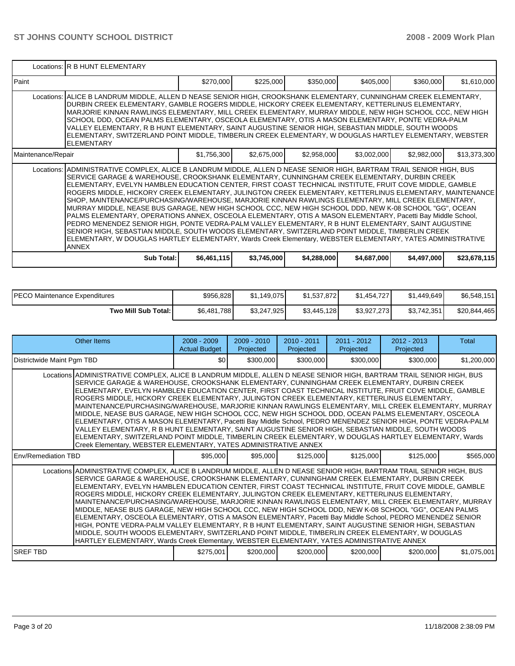۰,

r.

| Locations: R B HUNT ELEMENTARY                                                                                                                                                                                                                                                                                                                                                                                                                                                                                                                                                                                                                                                                                                                                                                                                                                                                                                                                                                                                                                                                                           |             |             |             |             |             |              |  |  |  |  |  |
|--------------------------------------------------------------------------------------------------------------------------------------------------------------------------------------------------------------------------------------------------------------------------------------------------------------------------------------------------------------------------------------------------------------------------------------------------------------------------------------------------------------------------------------------------------------------------------------------------------------------------------------------------------------------------------------------------------------------------------------------------------------------------------------------------------------------------------------------------------------------------------------------------------------------------------------------------------------------------------------------------------------------------------------------------------------------------------------------------------------------------|-------------|-------------|-------------|-------------|-------------|--------------|--|--|--|--|--|
| <b>IPaint</b>                                                                                                                                                                                                                                                                                                                                                                                                                                                                                                                                                                                                                                                                                                                                                                                                                                                                                                                                                                                                                                                                                                            | \$270,000   | \$225,000   | \$350,000   | \$405,000   | \$360,000   | \$1,610,000  |  |  |  |  |  |
| Locations: ALICE B LANDRUM MIDDLE, ALLEN D NEASE SENIOR HIGH, CROOKSHANK ELEMENTARY, CUNNINGHAM CREEK ELEMENTARY,<br>DURBIN CREEK ELEMENTARY, GAMBLE ROGERS MIDDLE, HICKORY CREEK ELEMENTARY, KETTERLINUS ELEMENTARY,<br>MARJORIE KINNAN RAWLINGS ELEMENTARY, MILL CREEK ELEMENTARY, MURRAY MIDDLE, NEW HIGH SCHOOL CCC, NEW HIGH<br>SCHOOL DDD, OCEAN PALMS ELEMENTARY, OSCEOLA ELEMENTARY, OTIS A MASON ELEMENTARY, PONTE VEDRA-PALM<br>VALLEY ELEMENTARY, R B HUNT ELEMENTARY, SAINT AUGUSTINE SENIOR HIGH, SEBASTIAN MIDDLE, SOUTH WOODS<br>ELEMENTARY, SWITZERLAND POINT MIDDLE, TIMBERLIN CREEK ELEMENTARY, W DOUGLAS HARTLEY ELEMENTARY, WEBSTER<br><b>ELEMENTARY</b>                                                                                                                                                                                                                                                                                                                                                                                                                                             |             |             |             |             |             |              |  |  |  |  |  |
| Maintenance/Repair                                                                                                                                                                                                                                                                                                                                                                                                                                                                                                                                                                                                                                                                                                                                                                                                                                                                                                                                                                                                                                                                                                       | \$1,756,300 | \$2,675,000 | \$2,958,000 | \$3,002,000 | \$2,982,000 | \$13,373,300 |  |  |  |  |  |
| Locations:   ADMINISTRATIVE COMPLEX, ALICE B LANDRUM MIDDLE, ALLEN D NEASE SENIOR HIGH, BARTRAM TRAIL SENIOR HIGH, BUS<br>SERVICE GARAGE & WAREHOUSE, CROOKSHANK ELEMENTARY, CUNNINGHAM CREEK ELEMENTARY, DURBIN CREEK<br>ELEMENTARY, EVELYN HAMBLEN EDUCATION CENTER, FIRST COAST TECHNICAL INSTITUTE, FRUIT COVE MIDDLE, GAMBLE <br>ROGERS MIDDLE, HICKORY CREEK ELEMENTARY, JULINGTON CREEK ELEMENTARY, KETTERLINUS ELEMENTARY, MAINTENANCE<br>SHOP, MAINTENANCE/PURCHASING/WAREHOUSE, MARJORIE KINNAN RAWLINGS ELEMENTARY, MILL CREEK ELEMENTARY,<br>MURRAY MIDDLE, NEASE BUS GARAGE, NEW HIGH SCHOOL CCC, NEW HIGH SCHOOL DDD, NEW K-08 SCHOOL "GG", OCEAN<br>PALMS ELEMENTARY, OPERATIONS ANNEX, OSCEOLA ELEMENTARY, OTIS A MASON ELEMENTARY, Pacetti Bay Middle School,<br>PEDRO MENENDEZ SENIOR HIGH, PONTE VEDRA-PALM VALLEY ELEMENTARY, R B HUNT ELEMENTARY, SAINT AUGUSTINE<br>SENIOR HIGH, SEBASTIAN MIDDLE, SOUTH WOODS ELEMENTARY, SWITZERLAND POINT MIDDLE, TIMBERLIN CREEK<br>ELEMENTARY, W DOUGLAS HARTLEY ELEMENTARY, Wards Creek Elementary, WEBSTER ELEMENTARY, YATES ADMINISTRATIVE<br><b>ANNEX</b> |             |             |             |             |             |              |  |  |  |  |  |
| Sub Total:                                                                                                                                                                                                                                                                                                                                                                                                                                                                                                                                                                                                                                                                                                                                                                                                                                                                                                                                                                                                                                                                                                               | \$6,461,115 | \$3,745,000 | \$4,288,000 | \$4,687,000 | \$4,497,000 | \$23,678,115 |  |  |  |  |  |

| IPECO Maintenance Expenditures | \$956,828   | \$1.149.075 | \$1,537,872 | \$1,454,727 | \$1.449.649 | \$6,548,151  |
|--------------------------------|-------------|-------------|-------------|-------------|-------------|--------------|
| Two Mill Sub Total:            | \$6,481,788 | \$3,247,925 | \$3,445,128 | \$3,927,273 | \$3,742,351 | \$20,844,465 |

| Other Items                                                                                                                                                                                                                                                                                                                                                                                                                                                                                                                                                                                                                                                                                                                                                                                                                                                                                                                                                                                                                                                            | $2008 - 2009$<br><b>Actual Budget</b>                                                                                                                                                                                                                                                                                                                                                                                                                                                                                                                                                                                                                                                                                                                                                                                                                                                                                                                                                                                                            | $2009 - 2010$<br>Projected | $2010 - 2011$<br>Projected | $2011 - 2012$<br>Projected | $2012 - 2013$<br>Projected | Total       |  |
|------------------------------------------------------------------------------------------------------------------------------------------------------------------------------------------------------------------------------------------------------------------------------------------------------------------------------------------------------------------------------------------------------------------------------------------------------------------------------------------------------------------------------------------------------------------------------------------------------------------------------------------------------------------------------------------------------------------------------------------------------------------------------------------------------------------------------------------------------------------------------------------------------------------------------------------------------------------------------------------------------------------------------------------------------------------------|--------------------------------------------------------------------------------------------------------------------------------------------------------------------------------------------------------------------------------------------------------------------------------------------------------------------------------------------------------------------------------------------------------------------------------------------------------------------------------------------------------------------------------------------------------------------------------------------------------------------------------------------------------------------------------------------------------------------------------------------------------------------------------------------------------------------------------------------------------------------------------------------------------------------------------------------------------------------------------------------------------------------------------------------------|----------------------------|----------------------------|----------------------------|----------------------------|-------------|--|
| Districtwide Maint Pgm TBD                                                                                                                                                                                                                                                                                                                                                                                                                                                                                                                                                                                                                                                                                                                                                                                                                                                                                                                                                                                                                                             | \$0                                                                                                                                                                                                                                                                                                                                                                                                                                                                                                                                                                                                                                                                                                                                                                                                                                                                                                                                                                                                                                              | \$300,000                  | \$300,000                  | \$300,000                  | \$300,000                  | \$1,200,000 |  |
|                                                                                                                                                                                                                                                                                                                                                                                                                                                                                                                                                                                                                                                                                                                                                                                                                                                                                                                                                                                                                                                                        | Locations ADMINISTRATIVE COMPLEX, ALICE B LANDRUM MIDDLE, ALLEN D NEASE SENIOR HIGH, BARTRAM TRAIL SENIOR HIGH, BUS<br>SERVICE GARAGE & WAREHOUSE, CROOKSHANK ELEMENTARY, CUNNINGHAM CREEK ELEMENTARY, DURBIN CREEK<br>ELEMENTARY, EVELYN HAMBLEN EDUCATION CENTER, FIRST COAST TECHNICAL INSTITUTE, FRUIT COVE MIDDLE, GAMBLE<br>ROGERS MIDDLE, HICKORY CREEK ELEMENTARY, JULINGTON CREEK ELEMENTARY, KETTERLINUS ELEMENTARY,<br>MAINTENANCE/PURCHASING/WAREHOUSE, MARJORIE KINNAN RAWLINGS ELEMENTARY, MILL CREEK ELEMENTARY, MURRAY<br>MIDDLE, NEASE BUS GARAGE, NEW HIGH SCHOOL CCC, NEW HIGH SCHOOL DDD, OCEAN PALMS ELEMENTARY, OSCEOLA<br>ELEMENTARY, OTIS A MASON ELEMENTARY, Pacetti Bay Middle School, PEDRO MENENDEZ SENIOR HIGH, PONTE VEDRA-PALM<br>VALLEY ELEMENTARY, R B HUNT ELEMENTARY, SAINT AUGUSTINE SENIOR HIGH, SEBASTIAN MIDDLE, SOUTH WOODS<br>ELEMENTARY, SWITZERLAND POINT MIDDLE, TIMBERLIN CREEK ELEMENTARY, W DOUGLAS HARTLEY ELEMENTARY, Wards<br>Creek Elementary, WEBSTER ELEMENTARY, YATES ADMINISTRATIVE ANNEX |                            |                            |                            |                            |             |  |
| <b>IEnv/Remediation TBD</b>                                                                                                                                                                                                                                                                                                                                                                                                                                                                                                                                                                                                                                                                                                                                                                                                                                                                                                                                                                                                                                            | \$95,000                                                                                                                                                                                                                                                                                                                                                                                                                                                                                                                                                                                                                                                                                                                                                                                                                                                                                                                                                                                                                                         | \$95,000                   | \$125,000                  | \$125,000                  | \$125,000                  | \$565,000   |  |
| Locations ADMINISTRATIVE COMPLEX, ALICE B LANDRUM MIDDLE, ALLEN D NEASE SENIOR HIGH, BARTRAM TRAIL SENIOR HIGH, BUS<br>SERVICE GARAGE & WAREHOUSE, CROOKSHANK ELEMENTARY, CUNNINGHAM CREEK ELEMENTARY, DURBIN CREEK<br>ELEMENTARY, EVELYN HAMBLEN EDUCATION CENTER, FIRST COAST TECHNICAL INSTITUTE, FRUIT COVE MIDDLE, GAMBLE<br>ROGERS MIDDLE, HICKORY CREEK ELEMENTARY, JULINGTON CREEK ELEMENTARY, KETTERLINUS ELEMENTARY,<br>MAINTENANCE/PURCHASING/WAREHOUSE, MARJORIE KINNAN RAWLINGS ELEMENTARY, MILL CREEK ELEMENTARY, MURRAY<br>MIDDLE, NEASE BUS GARAGE, NEW HIGH SCHOOL CCC, NEW HIGH SCHOOL DDD, NEW K-08 SCHOOL "GG", OCEAN PALMS<br>ELEMENTARY, OSCEOLA ELEMENTARY, OTIS A MASON ELEMENTARY, Pacetti Bay Middle School, PEDRO MENENDEZ SENIOR<br>HIGH, PONTE VEDRA-PALM VALLEY ELEMENTARY, R B HUNT ELEMENTARY, SAINT AUGUSTINE SENIOR HIGH, SEBASTIAN<br>MIDDLE, SOUTH WOODS ELEMENTARY, SWITZERLAND POINT MIDDLE, TIMBERLIN CREEK ELEMENTARY, W DOUGLAS<br>HARTLEY ELEMENTARY, Wards Creek Elementary, WEBSTER ELEMENTARY, YATES ADMINISTRATIVE ANNEX |                                                                                                                                                                                                                                                                                                                                                                                                                                                                                                                                                                                                                                                                                                                                                                                                                                                                                                                                                                                                                                                  |                            |                            |                            |                            |             |  |
| ISREF TBD                                                                                                                                                                                                                                                                                                                                                                                                                                                                                                                                                                                                                                                                                                                                                                                                                                                                                                                                                                                                                                                              | \$275,001                                                                                                                                                                                                                                                                                                                                                                                                                                                                                                                                                                                                                                                                                                                                                                                                                                                                                                                                                                                                                                        | \$200,000                  | \$200,000                  | \$200,000                  | \$200,000                  | \$1,075,001 |  |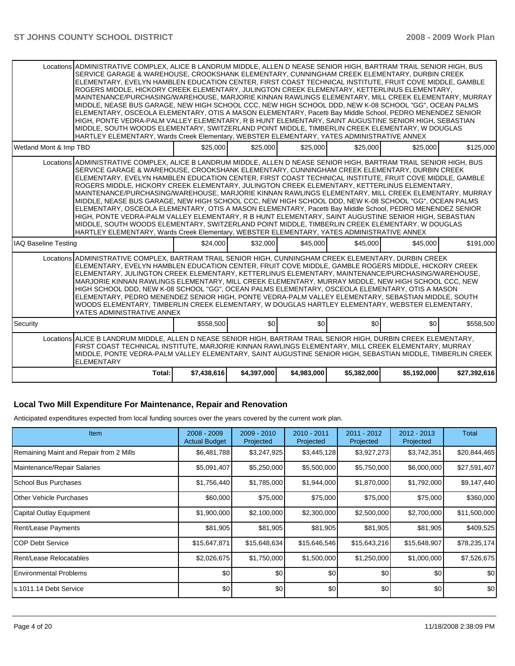|                                                                                                                                                                                                                                                                                                                                                                                                                                                                                                                                                                                                                                                                                                                                                                                                                                                                                                                                                                                                                                                                         | Locations ADMINISTRATIVE COMPLEX, ALICE B LANDRUM MIDDLE, ALLEN D NEASE SENIOR HIGH, BARTRAM TRAIL SENIOR HIGH, BUS<br>SERVICE GARAGE & WAREHOUSE, CROOKSHANK ELEMENTARY, CUNNINGHAM CREEK ELEMENTARY, DURBIN CREEK<br>IELEMENTARY. EVELYN HAMBLEN EDUCATION CENTER. FIRST COAST TECHNICAL INSTITUTE. FRUIT COVE MIDDLE. GAMBLE<br>ROGERS MIDDLE, HICKORY CREEK ELEMENTARY, JULINGTON CREEK ELEMENTARY, KETTERLINUS ELEMENTARY,<br>IMAINTENANCE/PURCHASING/WAREHOUSE. MARJORIE KINNAN RAWLINGS ELEMENTARY. MILL CREEK ELEMENTARY. MURRAY<br>MIDDLE, NEASE BUS GARAGE, NEW HIGH SCHOOL CCC, NEW HIGH SCHOOL DDD, NEW K-08 SCHOOL "GG", OCEAN PALMS<br>ELEMENTARY, OSCEOLA ELEMENTARY, OTIS A MASON ELEMENTARY, Pacetti Bay Middle School, PEDRO MENENDEZ SENIOR<br>HIGH, PONTE VEDRA-PALM VALLEY ELEMENTARY, R B HUNT ELEMENTARY, SAINT AUGUSTINE SENIOR HIGH, SEBASTIAN<br>MIDDLE, SOUTH WOODS ELEMENTARY, SWITZERLAND POINT MIDDLE, TIMBERLIN CREEK ELEMENTARY, W DOUGLAS<br>HARTLEY ELEMENTARY, Wards Creek Elementary, WEBSTER ELEMENTARY, YATES ADMINISTRATIVE ANNEX |             |             |             |             |              |  |  |  |  |
|-------------------------------------------------------------------------------------------------------------------------------------------------------------------------------------------------------------------------------------------------------------------------------------------------------------------------------------------------------------------------------------------------------------------------------------------------------------------------------------------------------------------------------------------------------------------------------------------------------------------------------------------------------------------------------------------------------------------------------------------------------------------------------------------------------------------------------------------------------------------------------------------------------------------------------------------------------------------------------------------------------------------------------------------------------------------------|--------------------------------------------------------------------------------------------------------------------------------------------------------------------------------------------------------------------------------------------------------------------------------------------------------------------------------------------------------------------------------------------------------------------------------------------------------------------------------------------------------------------------------------------------------------------------------------------------------------------------------------------------------------------------------------------------------------------------------------------------------------------------------------------------------------------------------------------------------------------------------------------------------------------------------------------------------------------------------------------------------------------------------------------------------------------------|-------------|-------------|-------------|-------------|--------------|--|--|--|--|
| Wetland Mont & Imp TBD                                                                                                                                                                                                                                                                                                                                                                                                                                                                                                                                                                                                                                                                                                                                                                                                                                                                                                                                                                                                                                                  | \$25,000                                                                                                                                                                                                                                                                                                                                                                                                                                                                                                                                                                                                                                                                                                                                                                                                                                                                                                                                                                                                                                                                 | \$25,000    | \$25,000    | \$25,000    | \$25,000    | \$125,000    |  |  |  |  |
| Locations ADMINISTRATIVE COMPLEX, ALICE B LANDRUM MIDDLE, ALLEN D NEASE SENIOR HIGH, BARTRAM TRAIL SENIOR HIGH, BUS<br>SERVICE GARAGE & WAREHOUSE, CROOKSHANK ELEMENTARY, CUNNINGHAM CREEK ELEMENTARY, DURBIN CREEK<br>ELEMENTARY, EVELYN HAMBLEN EDUCATION CENTER, FIRST COAST TECHNICAL INSTITUTE, FRUIT COVE MIDDLE, GAMBLE<br>ROGERS MIDDLE, HICKORY CREEK ELEMENTARY, JULINGTON CREEK ELEMENTARY, KETTERLINUS ELEMENTARY,<br>MAINTENANCE/PURCHASING/WAREHOUSE, MARJORIE KINNAN RAWLINGS ELEMENTARY, MILL CREEK ELEMENTARY, MURRAY<br>MIDDLE, NEASE BUS GARAGE, NEW HIGH SCHOOL CCC, NEW HIGH SCHOOL DDD, NEW K-08 SCHOOL "GG", OCEAN PALMS<br>ELEMENTARY, OSCEOLA ELEMENTARY, OTIS A MASON ELEMENTARY, Pacetti Bay Middle School, PEDRO MENENDEZ SENIOR<br>HIGH, PONTE VEDRA-PALM VALLEY ELEMENTARY, R B HUNT ELEMENTARY, SAINT AUGUSTINE SENIOR HIGH, SEBASTIAN<br>IMIDDLE. SOUTH WOODS ELEMENTARY. SWITZERLAND POINT MIDDLE. TIMBERLIN CREEK ELEMENTARY. W DOUGLAS<br>HARTLEY ELEMENTARY, Wards Creek Elementary, WEBSTER ELEMENTARY, YATES ADMINISTRATIVE ANNEX |                                                                                                                                                                                                                                                                                                                                                                                                                                                                                                                                                                                                                                                                                                                                                                                                                                                                                                                                                                                                                                                                          |             |             |             |             |              |  |  |  |  |
| <b>IAQ Baseline Testing</b>                                                                                                                                                                                                                                                                                                                                                                                                                                                                                                                                                                                                                                                                                                                                                                                                                                                                                                                                                                                                                                             | \$24,000                                                                                                                                                                                                                                                                                                                                                                                                                                                                                                                                                                                                                                                                                                                                                                                                                                                                                                                                                                                                                                                                 | \$32,000    | \$45,000    | \$45,000    | \$45,000    | \$191,000    |  |  |  |  |
| Locations ADMINISTRATIVE COMPLEX, BARTRAM TRAIL SENIOR HIGH, CUNNINGHAM CREEK ELEMENTARY, DURBIN CREEK<br>ELEMENTARY, EVELYN HAMBLEN EDUCATION CENTER, FRUIT COVE MIDDLE, GAMBLE ROGERS MIDDLE, HICKORY CREEK<br>ELEMENTARY, JULINGTON CREEK ELEMENTARY, KETTERLINUS ELEMENTARY, MAINTENANCE/PURCHASING/WAREHOUSE,<br>MARJORIE KINNAN RAWLINGS ELEMENTARY, MILL CREEK ELEMENTARY, MURRAY MIDDLE, NEW HIGH SCHOOL CCC, NEW<br>HIGH SCHOOL DDD, NEW K-08 SCHOOL "GG", OCEAN PALMS ELEMENTARY, OSCEOLA ELEMENTARY, OTIS A MASON<br>ELEMENTARY, PEDRO MENENDEZ SENIOR HIGH, PONTE VEDRA-PALM VALLEY ELEMENTARY, SEBASTIAN MIDDLE, SOUTH<br>WOODS ELEMENTARY, TIMBERLIN CREEK ELEMENTARY, W DOUGLAS HARTLEY ELEMENTARY, WEBSTER ELEMENTARY,<br>YATES ADMINISTRATIVE ANNEX                                                                                                                                                                                                                                                                                                    |                                                                                                                                                                                                                                                                                                                                                                                                                                                                                                                                                                                                                                                                                                                                                                                                                                                                                                                                                                                                                                                                          |             |             |             |             |              |  |  |  |  |
| Security                                                                                                                                                                                                                                                                                                                                                                                                                                                                                                                                                                                                                                                                                                                                                                                                                                                                                                                                                                                                                                                                | \$558,500                                                                                                                                                                                                                                                                                                                                                                                                                                                                                                                                                                                                                                                                                                                                                                                                                                                                                                                                                                                                                                                                | \$0         | \$0]        | \$0         | \$0         | \$558,500    |  |  |  |  |
| Locations ALICE B LANDRUM MIDDLE, ALLEN D NEASE SENIOR HIGH, BARTRAM TRAIL SENIOR HIGH, DURBIN CREEK ELEMENTARY,<br>FIRST COAST TECHNICAL INSTITUTE, MARJORIE KINNAN RAWLINGS ELEMENTARY, MILL CREEK ELEMENTARY, MURRAY<br>MIDDLE, PONTE VEDRA-PALM VALLEY ELEMENTARY, SAINT AUGUSTINE SENIOR HIGH, SEBASTIAN MIDDLE, TIMBERLIN CREEK<br>ELEMENTARY                                                                                                                                                                                                                                                                                                                                                                                                                                                                                                                                                                                                                                                                                                                     |                                                                                                                                                                                                                                                                                                                                                                                                                                                                                                                                                                                                                                                                                                                                                                                                                                                                                                                                                                                                                                                                          |             |             |             |             |              |  |  |  |  |
| Total:                                                                                                                                                                                                                                                                                                                                                                                                                                                                                                                                                                                                                                                                                                                                                                                                                                                                                                                                                                                                                                                                  | \$7,438,616                                                                                                                                                                                                                                                                                                                                                                                                                                                                                                                                                                                                                                                                                                                                                                                                                                                                                                                                                                                                                                                              | \$4,397,000 | \$4,983,000 | \$5,382,000 | \$5,192,000 | \$27,392,616 |  |  |  |  |

## **Local Two Mill Expenditure For Maintenance, Repair and Renovation**

Anticipated expenditures expected from local funding sources over the years covered by the current work plan.

| Item                                    | $2008 - 2009$<br><b>Actual Budget</b> | 2009 - 2010<br>Projected | 2010 - 2011<br>Projected | 2011 - 2012<br>Projected | 2012 - 2013<br>Projected | Total        |
|-----------------------------------------|---------------------------------------|--------------------------|--------------------------|--------------------------|--------------------------|--------------|
| Remaining Maint and Repair from 2 Mills | \$6,481,788                           | \$3,247,925              | \$3,445,128              | \$3,927,273              | \$3,742,351              | \$20,844,465 |
| Maintenance/Repair Salaries             | \$5,091,407                           | \$5,250,000              | \$5,500,000              | \$5,750,000              | \$6,000,000              | \$27,591,407 |
| School Bus Purchases                    | \$1,756,440                           | \$1,785,000              | \$1,944,000              | \$1,870,000              | \$1,792,000              | \$9,147,440  |
| <b>Other Vehicle Purchases</b>          | \$60,000                              | \$75,000                 | \$75,000                 | \$75,000                 | \$75,000                 | \$360,000    |
| Capital Outlay Equipment                | \$1,900,000                           | \$2,100,000              | \$2,300,000              | \$2,500,000              | \$2,700,000              | \$11,500,000 |
| Rent/Lease Payments                     | \$81,905                              | \$81,905                 | \$81,905                 | \$81,905                 | \$81,905                 | \$409,525    |
| <b>COP Debt Service</b>                 | \$15,647,871                          | \$15,648,634             | \$15,646,546             | \$15,643,216             | \$15,648,907             | \$78,235,174 |
| Rent/Lease Relocatables                 | \$2,026,675                           | \$1,750,000              | \$1,500,000              | \$1,250,000              | \$1,000,000              | \$7,526,675  |
| <b>Environmental Problems</b>           | \$0                                   | \$0                      | \$0                      | \$0                      | \$0                      | \$0          |
| Is.1011.14 Debt Service                 | \$0                                   | \$0                      | \$0                      | \$0                      | \$0                      | \$0          |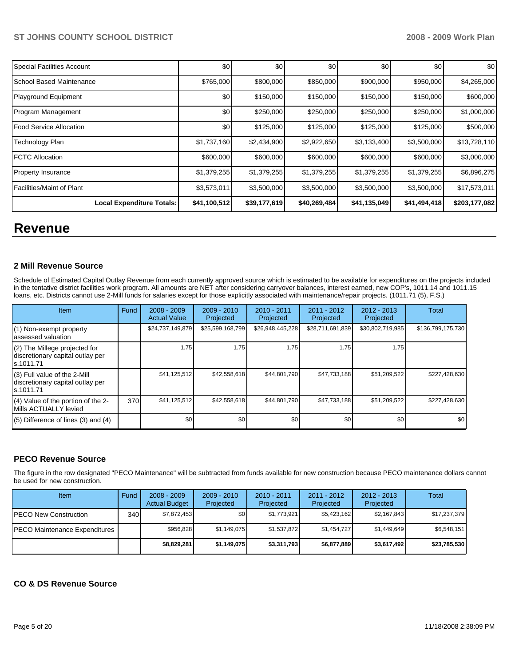| <b>Special Facilities Account</b> | \$0          | \$0          | \$0          | \$0          | \$0          | \$0           |
|-----------------------------------|--------------|--------------|--------------|--------------|--------------|---------------|
| <b>School Based Maintenance</b>   | \$765,000    | \$800,000    | \$850,000    | \$900,000    | \$950,000    | \$4,265,000   |
| Playground Equipment              | \$0          | \$150,000    | \$150,000    | \$150,000    | \$150,000    | \$600,000     |
| Program Management                | \$0          | \$250,000    | \$250,000    | \$250,000    | \$250,000    | \$1,000,000   |
| <b>Food Service Allocation</b>    | \$0          | \$125,000    | \$125,000    | \$125,000    | \$125,000    | \$500,000     |
| Technology Plan                   | \$1,737,160  | \$2,434,900  | \$2,922,650  | \$3,133,400  | \$3,500,000  | \$13,728,110  |
| <b>FCTC Allocation</b>            | \$600,000    | \$600,000    | \$600,000    | \$600,000    | \$600,000    | \$3,000,000   |
| Property Insurance                | \$1,379,255  | \$1,379,255  | \$1,379,255  | \$1,379,255  | \$1,379,255  | \$6,896,275   |
| Facilities/Maint of Plant         | \$3,573,011  | \$3,500,000  | \$3,500,000  | \$3,500,000  | \$3,500,000  | \$17,573,011  |
| <b>Local Expenditure Totals:</b>  | \$41,100,512 | \$39,177,619 | \$40,269,484 | \$41,135,049 | \$41,494,418 | \$203,177,082 |

## **Revenue**

#### **2 Mill Revenue Source**

Schedule of Estimated Capital Outlay Revenue from each currently approved source which is estimated to be available for expenditures on the projects included in the tentative district facilities work program. All amounts are NET after considering carryover balances, interest earned, new COP's, 1011.14 and 1011.15 loans, etc. Districts cannot use 2-Mill funds for salaries except for those explicitly associated with maintenance/repair projects. (1011.71 (5), F.S.)

| Item                                                                            | Fund | $2008 - 2009$<br><b>Actual Value</b> | $2009 - 2010$<br>Projected | $2010 - 2011$<br>Projected | $2011 - 2012$<br>Projected | $2012 - 2013$<br>Projected | Total             |
|---------------------------------------------------------------------------------|------|--------------------------------------|----------------------------|----------------------------|----------------------------|----------------------------|-------------------|
| (1) Non-exempt property<br>assessed valuation                                   |      | \$24,737,149,879                     | \$25,599,168,799           | \$26,948,445,228           | \$28,711,691,839           | \$30,802,719,985           | \$136,799,175,730 |
| (2) The Millege projected for<br>discretionary capital outlay per<br>ls.1011.71 |      | 1.75                                 | 1.75                       | 1.75                       | 1.75                       | 1.75                       |                   |
| (3) Full value of the 2-Mill<br>discretionary capital outlay per<br>s.1011.71   |      | \$41,125,512                         | \$42,558,618               | \$44,801,790               | \$47,733,188               | \$51,209,522               | \$227,428,630     |
| (4) Value of the portion of the 2-<br>Mills ACTUALLY levied                     | 370  | \$41,125,512                         | \$42,558,618               | \$44,801,790               | \$47,733,188               | \$51,209,522               | \$227,428,630     |
| $(5)$ Difference of lines $(3)$ and $(4)$                                       |      | \$0                                  | \$0                        | \$0                        | \$0                        | \$0                        | \$0               |

#### **PECO Revenue Source**

The figure in the row designated "PECO Maintenance" will be subtracted from funds available for new construction because PECO maintenance dollars cannot be used for new construction.

| Item                          | Fund         | $2008 - 2009$<br><b>Actual Budget</b> | $2009 - 2010$<br>Projected | $2010 - 2011$<br>Projected | $2011 - 2012$<br>Projected | $2012 - 2013$<br>Projected | Total        |
|-------------------------------|--------------|---------------------------------------|----------------------------|----------------------------|----------------------------|----------------------------|--------------|
| IPECO New Construction        | 340 <b>I</b> | \$7,872,453                           | \$0                        | \$1,773,921                | \$5,423,162                | \$2,167,843                | \$17,237,379 |
| PECO Maintenance Expenditures |              | \$956.828                             | \$1,149,075                | \$1,537,872                | \$1,454,727                | \$1,449,649                | \$6,548,151  |
|                               |              | \$8,829,281                           | \$1,149,075                | \$3,311,793                | \$6,877,889                | \$3,617,492                | \$23,785,530 |

#### **CO & DS Revenue Source**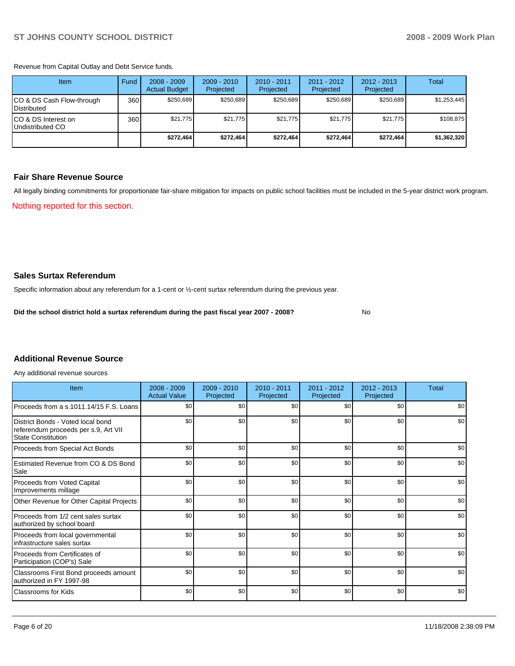Revenue from Capital Outlay and Debt Service funds.

| Item                                            | Fund | $2008 - 2009$<br><b>Actual Budget</b> | $2009 - 2010$<br>Projected | $2010 - 2011$<br>Projected | $2011 - 2012$<br>Projected | $2012 - 2013$<br>Projected | Total       |
|-------------------------------------------------|------|---------------------------------------|----------------------------|----------------------------|----------------------------|----------------------------|-------------|
| CO & DS Cash Flow-through<br><b>Distributed</b> | 360  | \$250.689                             | \$250,689                  | \$250.689                  | \$250.689                  | \$250.689                  | \$1,253,445 |
| CO & DS Interest on<br>Undistributed CO         | 360  | \$21,775                              | \$21,775                   | \$21,775                   | \$21,775                   | \$21,775                   | \$108,875   |
|                                                 |      | \$272,464                             | \$272,464                  | \$272.464                  | \$272,464                  | \$272,464                  | \$1,362,320 |

#### **Fair Share Revenue Source**

All legally binding commitments for proportionate fair-share mitigation for impacts on public school facilities must be included in the 5-year district work program. Nothing reported for this section.

#### **Sales Surtax Referendum**

Specific information about any referendum for a 1-cent or ½-cent surtax referendum during the previous year.

**Did the school district hold a surtax referendum during the past fiscal year 2007 - 2008?** No

### **Additional Revenue Source**

Any additional revenue sources

| Item                                                                                            | 2008 - 2009<br><b>Actual Value</b> | 2009 - 2010<br>Projected | $2010 - 2011$<br>Projected | $2011 - 2012$<br>Projected | $2012 - 2013$<br>Projected | <b>Total</b> |
|-------------------------------------------------------------------------------------------------|------------------------------------|--------------------------|----------------------------|----------------------------|----------------------------|--------------|
| Proceeds from a s.1011.14/15 F.S. Loans                                                         | \$0                                | \$0                      | \$0                        | \$0                        | \$0                        | \$0          |
| District Bonds - Voted local bond<br>referendum proceeds per s.9, Art VII<br>State Constitution | \$0                                | \$0                      | \$0                        | \$0                        | \$0                        | \$0          |
| Proceeds from Special Act Bonds                                                                 | \$0                                | \$0                      | \$0                        | \$0                        | \$0                        | \$0          |
| Estimated Revenue from CO & DS Bond<br>Sale                                                     | \$0                                | \$0                      | \$0                        | \$0                        | \$0                        | \$0          |
| Proceeds from Voted Capital<br>Improvements millage                                             | \$0                                | \$0                      | \$0                        | \$0                        | \$0                        | \$0          |
| Other Revenue for Other Capital Projects                                                        | \$0                                | \$0                      | \$0                        | \$0                        | \$0                        | \$0          |
| Proceeds from 1/2 cent sales surtax<br>authorized by school board                               | \$0                                | \$0                      | \$0                        | \$0                        | \$0                        | \$0          |
| Proceeds from local governmental<br>infrastructure sales surtax                                 | \$0                                | \$0                      | \$0                        | \$0                        | \$0                        | \$0          |
| Proceeds from Certificates of<br>Participation (COP's) Sale                                     | \$0                                | \$0                      | \$0                        | \$0                        | \$0                        | \$0          |
| Classrooms First Bond proceeds amount<br>authorized in FY 1997-98                               | \$0                                | \$0                      | \$0                        | \$0                        | \$0                        | \$0          |
| <b>Classrooms for Kids</b>                                                                      | \$0                                | \$0                      | \$0                        | \$0                        | \$0                        | \$0          |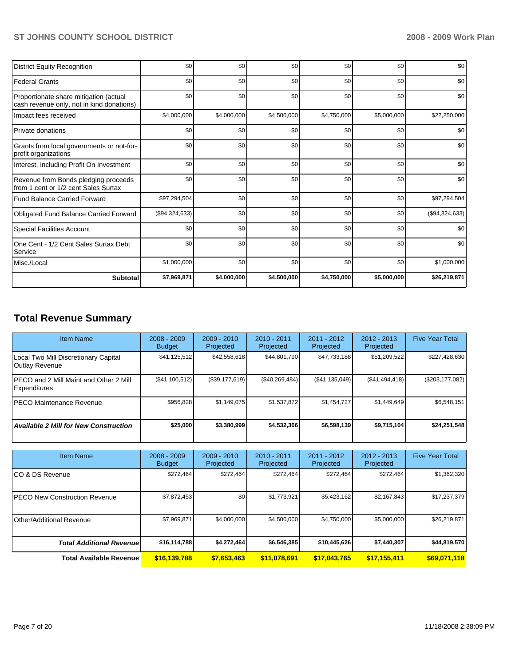| District Equity Recognition                                                         | \$0            | \$0         | \$0         | \$0         | \$0         | \$0            |
|-------------------------------------------------------------------------------------|----------------|-------------|-------------|-------------|-------------|----------------|
| <b>Federal Grants</b>                                                               | \$0            | \$0         | \$0         | \$0         | \$0         | \$0            |
| Proportionate share mitigation (actual<br>cash revenue only, not in kind donations) | \$0            | \$0         | \$0         | \$0         | \$0         | \$0            |
| Impact fees received                                                                | \$4,000,000    | \$4,000,000 | \$4,500,000 | \$4,750,000 | \$5,000,000 | \$22,250,000   |
| <b>Private donations</b>                                                            | \$0            | \$0         | \$0         | \$0         | \$0         | \$0            |
| Grants from local governments or not-for-<br>profit organizations                   | \$0            | \$0         | \$0         | \$0         | \$0         | \$0            |
| Interest, Including Profit On Investment                                            | \$0            | \$0         | \$0         | \$0         | \$0         | \$0            |
| Revenue from Bonds pledging proceeds<br>from 1 cent or 1/2 cent Sales Surtax        | \$0            | \$0         | \$0         | \$0         | \$0         | \$0            |
| <b>Fund Balance Carried Forward</b>                                                 | \$97,294,504   | \$0         | \$0         | \$0         | \$0         | \$97,294,504   |
| <b>Obligated Fund Balance Carried Forward</b>                                       | (\$94,324,633) | \$0         | \$0         | \$0         | \$0         | (\$94,324,633) |
| <b>Special Facilities Account</b>                                                   | \$0            | \$0         | \$0         | \$0         | \$0         | \$0            |
| One Cent - 1/2 Cent Sales Surtax Debt<br>Service                                    | \$0            | \$0         | \$0         | \$0         | \$0         | \$0            |
| Misc./Local                                                                         | \$1,000,000    | \$0         | \$0         | \$0         | \$0         | \$1,000,000    |
| <b>Subtotal</b>                                                                     | \$7,969,871    | \$4,000,000 | \$4,500,000 | \$4,750,000 | \$5,000,000 | \$26,219,871   |

## **Total Revenue Summary**

| Item Name                                                     | $2008 - 2009$<br><b>Budget</b> | $2009 - 2010$<br>Projected | $2010 - 2011$<br>Projected | $2011 - 2012$<br>Projected | $2012 - 2013$<br>Projected | <b>Five Year Total</b> |
|---------------------------------------------------------------|--------------------------------|----------------------------|----------------------------|----------------------------|----------------------------|------------------------|
| Local Two Mill Discretionary Capital<br><b>Outlay Revenue</b> | \$41,125,512                   | \$42,558,618               | \$44,801,790               | \$47,733,188               | \$51,209,522               | \$227,428,630          |
| PECO and 2 Mill Maint and Other 2 Mill<br><b>Expenditures</b> | (S41, 100, 512)                | (S39.177.619)              | (\$40,269,484)             | (\$41,135,049)             | (S41, 494, 418)            | $(\$203, 177, 082)$    |
| IPECO Maintenance Revenue                                     | \$956,828                      | \$1,149,075                | \$1,537,872                | \$1,454,727                | \$1,449,649                | \$6,548,151            |
| <b>Available 2 Mill for New Construction</b>                  | \$25,000                       | \$3,380,999                | \$4,532,306                | \$6,598,139                | \$9,715,104                | \$24,251,548           |

| <b>Item Name</b>                      | $2008 - 2009$<br>Budget | $2009 - 2010$<br>Projected | 2010 - 2011<br>Projected | 2011 - 2012<br>Projected | $2012 - 2013$<br>Projected | <b>Five Year Total</b> |
|---------------------------------------|-------------------------|----------------------------|--------------------------|--------------------------|----------------------------|------------------------|
| ICO & DS Revenue                      | \$272,464               | \$272,464                  | \$272,464                | \$272,464                | \$272,464                  | \$1,362,320            |
| <b>IPECO New Construction Revenue</b> | \$7,872,453             | \$0                        | \$1,773,921              | \$5,423,162              | \$2,167,843                | \$17,237,379           |
| Other/Additional Revenue              | \$7,969,871             | \$4,000,000                | \$4,500,000              | \$4,750,000              | \$5,000,000                | \$26,219,871           |
| <b>Total Additional Revenue</b>       | \$16,114,788            | \$4,272,464                | \$6,546,385              | \$10,445,626             | \$7,440,307                | \$44,819,570           |
| <b>Total Available Revenue</b>        | \$16,139,788            | \$7,653,463                | \$11,078,691             | \$17,043,765             | \$17,155,411               | \$69,071,118           |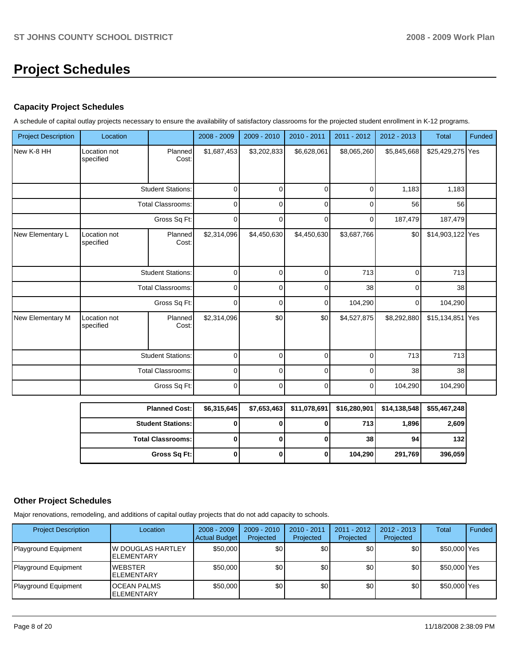# **Project Schedules**

## **Capacity Project Schedules**

A schedule of capital outlay projects necessary to ensure the availability of satisfactory classrooms for the projected student enrollment in K-12 programs.

| <b>Project Description</b> | Location                  |                          | $2008 - 2009$ | 2009 - 2010 | 2010 - 2011  | 2011 - 2012  | 2012 - 2013  | <b>Total</b>     | Funded |
|----------------------------|---------------------------|--------------------------|---------------|-------------|--------------|--------------|--------------|------------------|--------|
| New K-8 HH                 | Location not<br>specified | Planned<br>Cost:         | \$1,687,453   | \$3,202,833 | \$6,628,061  | \$8,065,260  | \$5,845,668  | \$25,429,275 Yes |        |
|                            |                           | <b>Student Stations:</b> | 0             | $\Omega$    | 0            | $\Omega$     | 1,183        | 1,183            |        |
|                            |                           | <b>Total Classrooms:</b> | 0             | 0           | 0            | 0            | 56           | 56               |        |
|                            |                           | Gross Sq Ft:             | $\Omega$      | 0           | 0            | 0            | 187,479      | 187,479          |        |
| New Elementary L           | Location not<br>specified | Planned<br>Cost:         | \$2,314,096   | \$4,450,630 | \$4,450,630  | \$3,687,766  | \$0          | \$14,903,122 Yes |        |
|                            |                           | <b>Student Stations:</b> | 0             | $\Omega$    | 0            | 713          | $\mathbf 0$  | 713              |        |
|                            |                           | <b>Total Classrooms:</b> | $\Omega$      | 0           | 0            | 38           | 0            | 38               |        |
|                            |                           | Gross Sq Ft:             | 0             | 0           | 0            | 104,290      | $\mathbf 0$  | 104,290          |        |
| New Elementary M           | Location not<br>specified | Planned<br>Cost:         | \$2,314,096   | \$0         | \$0          | \$4,527,875  | \$8,292,880  | \$15,134,851 Yes |        |
|                            |                           | <b>Student Stations:</b> | 0             | $\Omega$    | 0            | 0            | 713          | 713              |        |
|                            |                           | <b>Total Classrooms:</b> | 0             | 0           | $\mathbf 0$  | 0            | 38           | 38               |        |
|                            |                           | Gross Sq Ft:             | 0             | 0           | 0            | 0            | 104,290      | 104,290          |        |
|                            |                           | <b>Planned Cost:</b>     | \$6,315,645   | \$7,653,463 | \$11,078,691 | \$16,280,901 | \$14,138,548 | \$55,467,248     |        |

| <b>Planned Cost:</b>       | \$6.315.645 |  | $$7,653,463$ $$11,078,691$ $$16,280,901$ $$14,138,548$ |         | \$55,467,248 |
|----------------------------|-------------|--|--------------------------------------------------------|---------|--------------|
| <b>Student Stations:</b>   |             |  | <b>7131</b>                                            | 1.896   | 2,609        |
| <b>Total Classrooms: I</b> |             |  | 38                                                     | 94.     | 132          |
| Gross Sq Ft:               |             |  | 104.290                                                | 291.769 | 396,059      |

#### **Other Project Schedules**

Major renovations, remodeling, and additions of capital outlay projects that do not add capacity to schools.

| <b>Project Description</b> | Location                                        | $2008 - 2009$<br><b>Actual Budget</b> | $2009 - 2010$<br>Projected | 2010 - 2011<br>Projected | $2011 - 2012$<br>Projected | $2012 - 2013$<br>Projected | <b>Total</b> | Funded |
|----------------------------|-------------------------------------------------|---------------------------------------|----------------------------|--------------------------|----------------------------|----------------------------|--------------|--------|
| Playground Equipment       | <b>IW DOUGLAS HARTLEY</b><br><b>IELEMENTARY</b> | \$50,000                              | \$0                        | \$0                      | \$0 <sub>1</sub>           | \$0 <sub>1</sub>           | \$50,000 Yes |        |
| Playground Equipment       | <b>WEBSTER</b><br><b>IELEMENTARY</b>            | \$50,000                              | \$0                        | \$0                      | \$0                        | \$0                        | \$50,000 Yes |        |
| Playground Equipment       | <b>OCEAN PALMS</b><br><b>ELEMENTARY</b>         | \$50,000                              | \$0                        | \$0                      | \$0                        | \$0                        | \$50,000 Yes |        |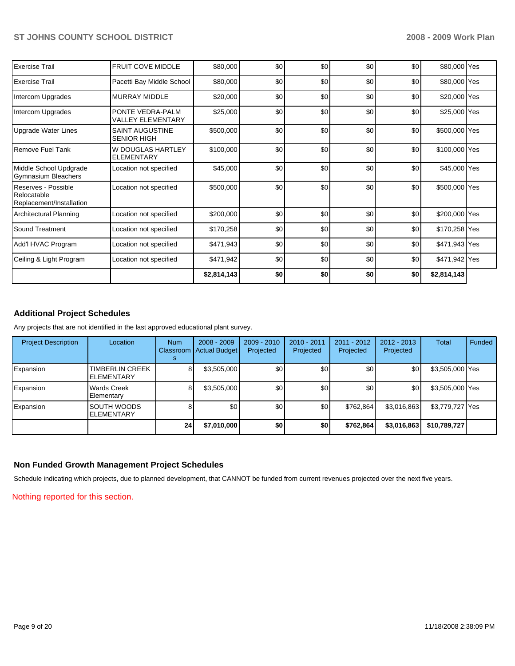| Exercise Trail                                                 | <b>FRUIT COVE MIDDLE</b>                     | \$80,000    | \$0 | \$0 | \$0 | \$0 | \$80,000 Yes  |  |
|----------------------------------------------------------------|----------------------------------------------|-------------|-----|-----|-----|-----|---------------|--|
| Exercise Trail                                                 | Pacetti Bay Middle School                    | \$80,000    | \$0 | \$0 | \$0 | \$0 | \$80,000 Yes  |  |
| Intercom Upgrades                                              | <b>MURRAY MIDDLE</b>                         | \$20,000    | \$0 | \$0 | \$0 | \$0 | \$20,000 Yes  |  |
| Intercom Upgrades                                              | PONTE VEDRA-PALM<br><b>VALLEY ELEMENTARY</b> | \$25,000    | \$0 | \$0 | \$0 | \$0 | \$25,000 Yes  |  |
| <b>Upgrade Water Lines</b>                                     | <b>SAINT AUGUSTINE</b><br><b>SENIOR HIGH</b> | \$500,000   | \$0 | \$0 | \$0 | \$0 | \$500,000 Yes |  |
| <b>I</b> Remove Fuel Tank                                      | W DOUGLAS HARTLEY<br><b>ELEMENTARY</b>       | \$100,000   | \$0 | \$0 | \$0 | \$0 | \$100,000 Yes |  |
| Middle School Updgrade<br>Gymnasium Bleachers                  | Location not specified                       | \$45,000    | \$0 | \$0 | \$0 | \$0 | \$45,000 Yes  |  |
| Reserves - Possible<br>Relocatable<br>Replacement/Installation | Location not specified                       | \$500,000   | \$0 | \$0 | \$0 | \$0 | \$500,000 Yes |  |
| Architectural Planning                                         | Location not specified                       | \$200,000   | \$0 | \$0 | \$0 | \$0 | \$200,000 Yes |  |
| Sound Treatment                                                | Location not specified                       | \$170,258   | \$0 | \$0 | \$0 | \$0 | \$170,258 Yes |  |
| Add'l HVAC Program                                             | Location not specified                       | \$471,943   | \$0 | \$0 | \$0 | \$0 | \$471,943 Yes |  |
| Ceiling & Light Program                                        | Location not specified                       | \$471,942   | \$0 | \$0 | \$0 | \$0 | \$471,942 Yes |  |
|                                                                |                                              | \$2,814,143 | \$0 | \$0 | \$0 | \$0 | \$2,814,143   |  |

## **Additional Project Schedules**

Any projects that are not identified in the last approved educational plant survey.

| <b>Project Description</b> | Location                                     | <b>Num</b><br><b>Classroom</b><br>×. | $2008 - 2009$<br>Actual Budget | $2009 - 2010$<br>Projected | 2010 - 2011<br>Projected | 2011 - 2012<br>Projected | $2012 - 2013$<br>Projected | Total           | Funded |
|----------------------------|----------------------------------------------|--------------------------------------|--------------------------------|----------------------------|--------------------------|--------------------------|----------------------------|-----------------|--------|
| Expansion                  | <b>TIMBERLIN CREEK</b><br><b>IELEMENTARY</b> | 8                                    | \$3,505,000                    | \$0                        | \$0 <sub>1</sub>         | \$0                      | \$0                        | \$3,505,000 Yes |        |
| Expansion                  | <b>Wards Creek</b><br>Elementary             |                                      | \$3,505,000                    | \$0                        | \$0 <sub>1</sub>         | \$0                      | \$0                        | \$3,505,000 Yes |        |
| Expansion                  | <b>SOUTH WOODS</b><br><b>ELEMENTARY</b>      |                                      | \$0 <sub>1</sub>               | \$0                        | \$0                      | \$762.864                | \$3,016,863                | \$3,779,727 Yes |        |
|                            |                                              | 24                                   | \$7,010,000                    | \$0                        | \$0                      | \$762,864                | \$3,016,863                | \$10,789,727    |        |

### **Non Funded Growth Management Project Schedules**

Schedule indicating which projects, due to planned development, that CANNOT be funded from current revenues projected over the next five years.

Nothing reported for this section.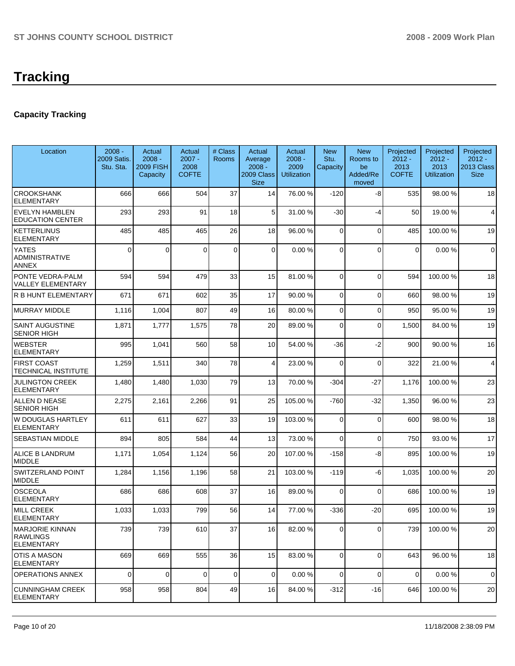# **Tracking**

## **Capacity Tracking**

| Location                                                       | $2008 -$<br>2009 Satis.<br>Stu. Sta. | Actual<br>$2008 -$<br><b>2009 FISH</b><br>Capacity | Actual<br>$2007 -$<br>2008<br><b>COFTE</b> | # Class<br><b>Rooms</b> | Actual<br>Average<br>$2008 -$<br>2009 Class<br><b>Size</b> | Actual<br>$2008 -$<br>2009<br><b>Utilization</b> | <b>New</b><br>Stu.<br>Capacity | <b>New</b><br>Rooms to<br>be<br>Added/Re<br>moved | Projected<br>$2012 -$<br>2013<br><b>COFTE</b> | Projected<br>$2012 -$<br>2013<br><b>Utilization</b> | Projected<br>$2012 -$<br>2013 Class<br><b>Size</b> |
|----------------------------------------------------------------|--------------------------------------|----------------------------------------------------|--------------------------------------------|-------------------------|------------------------------------------------------------|--------------------------------------------------|--------------------------------|---------------------------------------------------|-----------------------------------------------|-----------------------------------------------------|----------------------------------------------------|
| <b>CROOKSHANK</b><br><b>ELEMENTARY</b>                         | 666                                  | 666                                                | 504                                        | 37                      | 14                                                         | 76.00 %                                          | $-120$                         | -8                                                | 535                                           | 98.00 %                                             | 18                                                 |
| <b>EVELYN HAMBLEN</b><br><b>EDUCATION CENTER</b>               | 293                                  | 293                                                | 91                                         | 18                      | 5                                                          | 31.00 %                                          | $-30$                          | -4                                                | 50                                            | 19.00 %                                             | 4                                                  |
| <b>KETTERLINUS</b><br><b>ELEMENTARY</b>                        | 485                                  | 485                                                | 465                                        | 26                      | 18                                                         | 96.00 %                                          | $\Omega$                       | $\Omega$                                          | 485                                           | 100.00 %                                            | 19                                                 |
| YATES<br><b>ADMINISTRATIVE</b><br>ANNEX                        | $\Omega$                             | $\Omega$                                           | $\Omega$                                   | $\Omega$                | $\Omega$                                                   | 0.00%                                            | $\Omega$                       | $\Omega$                                          | $\mathbf 0$                                   | 0.00%                                               | $\mathbf 0$                                        |
| PONTE VEDRA-PALM<br>VALLEY ELEMENTARY                          | 594                                  | 594                                                | 479                                        | 33                      | 15                                                         | 81.00 %                                          | $\Omega$                       | $\Omega$                                          | 594                                           | 100.00 %                                            | 18                                                 |
| <b>R B HUNT ELEMENTARY</b>                                     | 671                                  | 671                                                | 602                                        | 35                      | 17                                                         | 90.00 %                                          | $\Omega$                       | 0                                                 | 660                                           | 98.00 %                                             | 19                                                 |
| <b>MURRAY MIDDLE</b>                                           | 1,116                                | 1,004                                              | 807                                        | 49                      | 16                                                         | 80.00 %                                          | $\Omega$                       | $\Omega$                                          | 950                                           | 95.00 %                                             | 19                                                 |
| SAINT AUGUSTINE<br><b>SENIOR HIGH</b>                          | 1,871                                | 1,777                                              | 1,575                                      | 78                      | 20                                                         | 89.00 %                                          | $\Omega$                       | $\Omega$                                          | 1,500                                         | 84.00 %                                             | 19                                                 |
| WEBSTER<br>ELEMENTARY                                          | 995                                  | 1,041                                              | 560                                        | 58                      | 10                                                         | 54.00 %                                          | -36                            | $-2$                                              | 900                                           | 90.00 %                                             | 16                                                 |
| <b>FIRST COAST</b><br>TECHNICAL INSTITUTE                      | 1,259                                | 1,511                                              | 340                                        | 78                      | 4                                                          | 23.00 %                                          | $\Omega$                       | $\Omega$                                          | 322                                           | 21.00 %                                             | 4                                                  |
| <b>JULINGTON CREEK</b><br>ELEMENTARY                           | 1,480                                | 1,480                                              | 1,030                                      | 79                      | 13                                                         | 70.00 %                                          | $-304$                         | $-27$                                             | 1,176                                         | 100.00 %                                            | 23                                                 |
| ALLEN D NEASE<br><b>SENIOR HIGH</b>                            | 2,275                                | 2,161                                              | 2,266                                      | 91                      | 25                                                         | 105.00 %                                         | $-760$                         | $-32$                                             | 1,350                                         | 96.00 %                                             | 23                                                 |
| W DOUGLAS HARTLEY<br><b>ELEMENTARY</b>                         | 611                                  | 611                                                | 627                                        | 33                      | 19                                                         | 103.00 %                                         | $\Omega$                       | 0                                                 | 600                                           | 98.00 %                                             | 18                                                 |
| <b>SEBASTIAN MIDDLE</b>                                        | 894                                  | 805                                                | 584                                        | 44                      | 13                                                         | 73.00 %                                          | 0                              | $\mathbf 0$                                       | 750                                           | 93.00 %                                             | 17                                                 |
| ALICE B LANDRUM<br><b>MIDDLE</b>                               | 1,171                                | 1,054                                              | 1,124                                      | 56                      | 20                                                         | 107.00 %                                         | $-158$                         | -8                                                | 895                                           | 100.00%                                             | 19                                                 |
| SWITZERLAND POINT<br>MIDDLE                                    | 1,284                                | 1,156                                              | 1,196                                      | 58                      | 21                                                         | 103.00 %                                         | $-119$                         | -6                                                | 1,035                                         | 100.00%                                             | 20                                                 |
| <b>OSCEOLA</b><br><b>ELEMENTARY</b>                            | 686                                  | 686                                                | 608                                        | 37                      | 16                                                         | 89.00 %                                          | $\Omega$                       | $\Omega$                                          | 686                                           | 100.00 %                                            | 19                                                 |
| <b>MILL CREEK</b><br><b>ELEMENTARY</b>                         | 1,033                                | 1,033                                              | 799                                        | 56                      | 14                                                         | 77.00 %                                          | $-336$                         | $-20$                                             | 695                                           | 100.00%                                             | 19                                                 |
| <b>MARJORIE KINNAN</b><br><b>RAWLINGS</b><br><b>ELEMENTARY</b> | 739                                  | 739                                                | 610                                        | 37                      | 16                                                         | 82.00 %                                          | $\mathbf 0$                    | $\Omega$                                          | 739                                           | 100.00 %                                            | 20                                                 |
| <b>OTIS A MASON</b><br>ELEMENTARY                              | 669                                  | 669                                                | 555                                        | 36                      | 15                                                         | 83.00 %                                          | $\Omega$                       | $\mathbf 0$                                       | 643                                           | 96.00 %                                             | 18                                                 |
| <b>OPERATIONS ANNEX</b>                                        | 0                                    | 0                                                  | $\Omega$                                   | 0                       | $\overline{0}$                                             | 0.00%                                            | $\Omega$                       | $\Omega$                                          | 0                                             | 0.00%                                               | $\mathbf 0$                                        |
| <b>CUNNINGHAM CREEK</b><br>ELEMENTARY                          | 958                                  | 958                                                | 804                                        | 49                      | 16                                                         | 84.00 %                                          | $-312$                         | $-16$                                             | 646                                           | 100.00 %                                            | 20                                                 |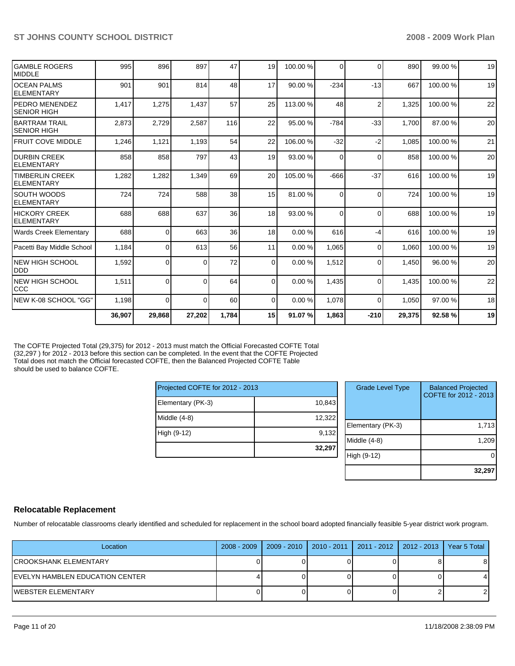| <b>GAMBLE ROGERS</b><br><b>IMIDDLE</b>       | 995    | 896            | 897      | 47    | 19          | 100.00 % | 0        | $\Omega$       | 890    | 99.00 %  | 19 |
|----------------------------------------------|--------|----------------|----------|-------|-------------|----------|----------|----------------|--------|----------|----|
| IOCEAN PALMS<br><b>IELEMENTARY</b>           | 901    | 901            | 814      | 48    | 17          | 90.00 %  | $-234$   | $-13$          | 667    | 100.00 % | 19 |
| <b>IPEDRO MENENDEZ</b><br><b>SENIOR HIGH</b> | 1,417  | 1,275          | 1,437    | 57    | 25          | 113.00 % | 48       | $\overline{2}$ | 1,325  | 100.00 % | 22 |
| <b>BARTRAM TRAIL</b><br>ISENIOR HIGH         | 2,873  | 2,729          | 2,587    | 116   | 22          | 95.00 %  | $-784$   | $-33$          | 1,700  | 87.00 %  | 20 |
| <b>FRUIT COVE MIDDLE</b>                     | 1,246  | 1,121          | 1,193    | 54    | 22          | 106.00 % | $-32$    | $-2$           | 1,085  | 100.00 % | 21 |
| <b>IDURBIN CREEK</b><br>IELEMENTARY          | 858    | 858            | 797      | 43    | 19          | 93.00 %  | $\Omega$ | $\Omega$       | 858    | 100.00 % | 20 |
| <b>ITIMBERLIN CREEK</b><br><b>ELEMENTARY</b> | 1,282  | 1,282          | 1,349    | 69    | 20          | 105.00 % | $-666$   | $-37$          | 616    | 100.00 % | 19 |
| ISOUTH WOODS<br>ELEMENTARY                   | 724    | 724            | 588      | 38    | 15          | 81.00 %  | $\Omega$ | $\Omega$       | 724    | 100.00 % | 19 |
| <b>HICKORY CREEK</b><br>IELEMENTARY          | 688    | 688            | 637      | 36    | 18          | 93.00 %  | $\Omega$ | $\Omega$       | 688    | 100.00%  | 19 |
| Wards Creek Elementary                       | 688    | $\overline{0}$ | 663      | 36    | 18          | 0.00%    | 616      | $-4$           | 616    | 100.00 % | 19 |
| Pacetti Bay Middle School                    | 1,184  | 0              | 613      | 56    | 11          | 0.00%    | 1,065    | $\Omega$       | 1.060  | 100.00%  | 19 |
| <b>NEW HIGH SCHOOL</b><br>IDDD               | 1,592  | 0              | 0        | 72    | $\mathbf 0$ | 0.00%    | 1,512    | 0              | 1,450  | 96.00 %  | 20 |
| INEW HIGH SCHOOL<br>lccc                     | 1,511  | 0              | $\Omega$ | 64    | $\Omega$    | 0.00%    | 1.435    | $\Omega$       | 1,435  | 100.00 % | 22 |
| NEW K-08 SCHOOL "GG"                         | 1,198  | $\Omega$       | $\Omega$ | 60    | $\Omega$    | 0.00%    | 1,078    | $\Omega$       | 1,050  | 97.00 %  | 18 |
|                                              | 36,907 | 29,868         | 27,202   | 1,784 | 15          | 91.07%   | 1,863    | $-210$         | 29,375 | 92.58 %  | 19 |

The COFTE Projected Total (29,375) for 2012 - 2013 must match the Official Forecasted COFTE Total (32,297 ) for 2012 - 2013 before this section can be completed. In the event that the COFTE Projected Total does not match the Official forecasted COFTE, then the Balanced Projected COFTE Table should be used to balance COFTE.

| Projected COFTE for 2012 - 2013 |        |
|---------------------------------|--------|
| Elementary (PK-3)               | 10,843 |
| Middle (4-8)                    | 12,322 |
| High (9-12)                     | 9,132  |
|                                 | 32,297 |

| <b>Grade Level Type</b> | <b>Balanced Projected</b><br>COFTE for 2012 - 2013 |
|-------------------------|----------------------------------------------------|
| Elementary (PK-3)       | 1,713                                              |
| Middle (4-8)            | 1,209                                              |
| High (9-12)             |                                                    |
|                         | 32,29                                              |

## **Relocatable Replacement**

Number of relocatable classrooms clearly identified and scheduled for replacement in the school board adopted financially feasible 5-year district work program.

| Location                        | $2008 - 2009$ |  | 2009 - 2010   2010 - 2011   2011 - 2012   2012 - 2013   Year 5 Total |  |
|---------------------------------|---------------|--|----------------------------------------------------------------------|--|
| <b>CROOKSHANK ELEMENTARY</b>    |               |  |                                                                      |  |
| EVELYN HAMBLEN EDUCATION CENTER |               |  |                                                                      |  |
| <b>WEBSTER ELEMENTARY</b>       |               |  |                                                                      |  |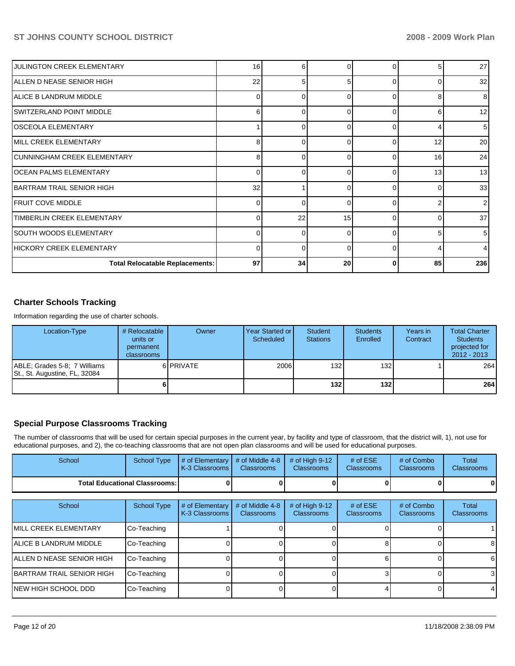| <b>JULINGTON CREEK ELEMENTARY</b>      | 16          | 6        | O        | 0        |    | 27  |
|----------------------------------------|-------------|----------|----------|----------|----|-----|
| ALLEN D NEASE SENIOR HIGH              | 22          | 5        | 5        | $\Omega$ | ∩  | 32  |
| IALICE B LANDRUM MIDDLE                | 0           | n        | 0        | ſ        | 8  | 8   |
| ISWITZERLAND POINT MIDDLE              | 6           | 0        | 0        | $\Omega$ | 6  | 12  |
| <b>OSCEOLA ELEMENTARY</b>              |             | 0        | 0        | $\Omega$ |    | 5   |
| MILL CREEK ELEMENTARY                  | 8           | ი        | $\Omega$ | $\Omega$ | 12 | 20  |
| CUNNINGHAM CREEK ELEMENTARY            | 8           | 0        | 0        | $\Omega$ | 16 | 24  |
| IOCEAN PALMS ELEMENTARY                | $\mathbf 0$ | 0        | $\Omega$ | ∩        | 13 | 13  |
| IBARTRAM TRAIL SENIOR HIGH             | 32          |          | 0        | $\Omega$ | C  | 33  |
| <b>IFRUIT COVE MIDDLE</b>              | 0           | 0        | 0        | $\Omega$ |    |     |
| TIMBERLIN CREEK ELEMENTARY             | $\Omega$    | 22       | 15       | $\Omega$ |    | 37  |
| SOUTH WOODS ELEMENTARY                 | $\Omega$    | $\Omega$ | 0        | $\Omega$ |    |     |
| IHICKORY CREEK ELEMENTARY              | $\mathbf 0$ | 0        | 0        | $\Omega$ |    |     |
| <b>Total Relocatable Replacements:</b> | 97          | 34       | 20       | 0        | 85 | 236 |

## **Charter Schools Tracking**

Information regarding the use of charter schools.

| Location-Type                                                 | # Relocatable<br>units or<br>permanent<br>classrooms | Owner            | Year Started or<br>Scheduled | Student<br><b>Stations</b> | <b>Students</b><br>Enrolled | Years in<br>Contract | <b>Total Charter</b><br><b>Students</b><br>projected for<br>$2012 - 2013$ |
|---------------------------------------------------------------|------------------------------------------------------|------------------|------------------------------|----------------------------|-----------------------------|----------------------|---------------------------------------------------------------------------|
| ABLE: Grades 5-8: 7 Williams<br>St., St. Augustine, FL, 32084 |                                                      | 6 <b>PRIVATE</b> | 2006                         | 132 <sup>1</sup>           | 132                         |                      | 264                                                                       |
|                                                               |                                                      |                  |                              | 132 <sub>l</sub>           | 132                         |                      | 264 l                                                                     |

## **Special Purpose Classrooms Tracking**

The number of classrooms that will be used for certain special purposes in the current year, by facility and type of classroom, that the district will, 1), not use for educational purposes, and 2), the co-teaching classrooms that are not open plan classrooms and will be used for educational purposes.

| School                            | <b>School Type</b>                   | # of Elementary<br>K-3 Classrooms | # of Middle 4-8<br><b>Classrooms</b> | # of High 9-12<br><b>Classrooms</b> | # of $ESE$<br>Classrooms | # of Combo<br><b>Classrooms</b> | Total<br><b>Classrooms</b> |
|-----------------------------------|--------------------------------------|-----------------------------------|--------------------------------------|-------------------------------------|--------------------------|---------------------------------|----------------------------|
|                                   | <b>Total Educational Classrooms:</b> |                                   |                                      |                                     |                          |                                 |                            |
|                                   |                                      |                                   |                                      |                                     |                          | # of Combo                      |                            |
| School                            | <b>School Type</b>                   | # of Elementary<br>K-3 Classrooms | # of Middle 4-8<br><b>Classrooms</b> | # of High 9-12<br>Classrooms        | # of $ESE$<br>Classrooms | <b>Classrooms</b>               | Total<br><b>Classrooms</b> |
| <b>IMILL CREEK ELEMENTARY</b>     | Co-Teaching                          |                                   |                                      |                                     |                          |                                 |                            |
| IALICE B LANDRUM MIDDLE           | Co-Teaching                          |                                   |                                      |                                     |                          |                                 | 8                          |
| <b>IALLEN D NEASE SENIOR HIGH</b> | Co-Teaching                          |                                   |                                      |                                     |                          |                                 | 6                          |
| IBARTRAM TRAIL SENIOR HIGH        | Co-Teaching                          |                                   |                                      |                                     |                          |                                 | 3                          |
| NEW HIGH SCHOOL DDD               | Co-Teaching                          |                                   |                                      |                                     |                          |                                 | $\overline{4}$             |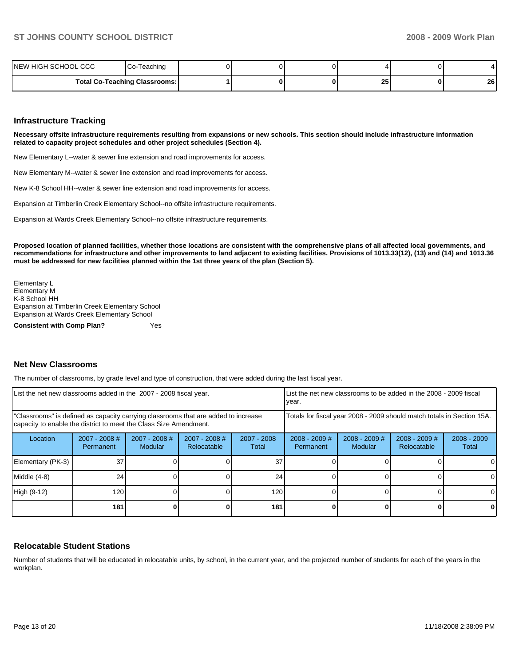| INEW HIGH SCHOOL CCC | Teaching<br>.Co-                     |  |           |   | $\overline{ }$ |
|----------------------|--------------------------------------|--|-----------|---|----------------|
|                      | <b>Total Co-Teaching Classrooms:</b> |  | OE.<br>Zυ | 0 | 26             |

#### **Infrastructure Tracking**

**Necessary offsite infrastructure requirements resulting from expansions or new schools. This section should include infrastructure information related to capacity project schedules and other project schedules (Section 4).** 

New Elementary L--water & sewer line extension and road improvements for access.

New Elementary M--water & sewer line extension and road improvements for access.

New K-8 School HH--water & sewer line extension and road improvements for access.

Expansion at Timberlin Creek Elementary School--no offsite infrastructure requirements.

Expansion at Wards Creek Elementary School--no offsite infrastructure requirements.

**Proposed location of planned facilities, whether those locations are consistent with the comprehensive plans of all affected local governments, and recommendations for infrastructure and other improvements to land adjacent to existing facilities. Provisions of 1013.33(12), (13) and (14) and 1013.36 must be addressed for new facilities planned within the 1st three years of the plan (Section 5).** 

Elementary L�� Elementary M�� K-8 School HH Expansion at Timberlin Creek Elementary School Expansion at Wards Creek Elementary School

**Consistent with Comp Plan?** Yes

#### **Net New Classrooms**

The number of classrooms, by grade level and type of construction, that were added during the last fiscal year.

| List the net new classrooms added in the 2007 - 2008 fiscal year.                                                                                       | year.                        |                          | List the net new classrooms to be added in the 2008 - 2009 fiscal |                      |                              |                            |                                                                        |                        |
|---------------------------------------------------------------------------------------------------------------------------------------------------------|------------------------------|--------------------------|-------------------------------------------------------------------|----------------------|------------------------------|----------------------------|------------------------------------------------------------------------|------------------------|
| "Classrooms" is defined as capacity carrying classrooms that are added to increase<br>capacity to enable the district to meet the Class Size Amendment. |                              |                          |                                                                   |                      |                              |                            | Totals for fiscal year 2008 - 2009 should match totals in Section 15A. |                        |
| Location                                                                                                                                                | $2007 - 2008$ #<br>Permanent | 2007 - 2008 #<br>Modular | 2007 - 2008 #<br>Relocatable                                      | 2007 - 2008<br>Total | $2008 - 2009$ #<br>Permanent | $2008 - 2009$ #<br>Modular | $2008 - 2009$ #<br>Relocatable                                         | $2008 - 2009$<br>Total |
| Elementary (PK-3)                                                                                                                                       | 37                           |                          |                                                                   | 37                   |                              |                            |                                                                        | 0                      |
| Middle (4-8)                                                                                                                                            | 24                           |                          |                                                                   | 24                   |                              |                            |                                                                        | $\Omega$               |
| High (9-12)                                                                                                                                             | 120                          |                          |                                                                   | 120                  |                              |                            |                                                                        | 0                      |
|                                                                                                                                                         | 181                          |                          |                                                                   | 181                  |                              |                            |                                                                        | 0                      |

#### **Relocatable Student Stations**

Number of students that will be educated in relocatable units, by school, in the current year, and the projected number of students for each of the years in the workplan.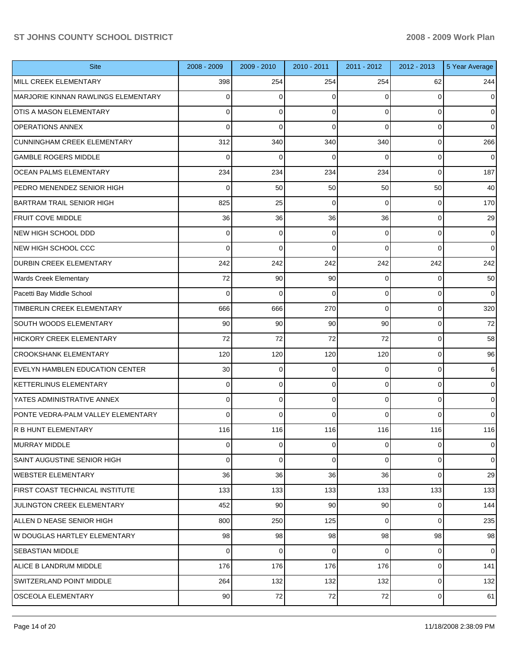| <b>Site</b>                         | 2008 - 2009    | $2009 - 2010$ | 2010 - 2011 | 2011 - 2012    | 2012 - 2013 | 5 Year Average |
|-------------------------------------|----------------|---------------|-------------|----------------|-------------|----------------|
| MILL CREEK ELEMENTARY               | 398            | 254           | 254         | 254            | 62          | 244            |
| MARJORIE KINNAN RAWLINGS ELEMENTARY | 0              | 0             | 0           | 0              | 0           | 0              |
| <b>OTIS A MASON ELEMENTARY</b>      | $\Omega$       | 0             | 0           | $\Omega$       | $\Omega$    | $\overline{0}$ |
| <b>OPERATIONS ANNEX</b>             | $\Omega$       | 0             | 0           | $\Omega$       | $\Omega$    | 0              |
| <b>CUNNINGHAM CREEK ELEMENTARY</b>  | 312            | 340           | 340         | 340            | 0           | 266            |
| <b>GAMBLE ROGERS MIDDLE</b>         | $\Omega$       | 0             | 0           | $\Omega$       | 0           | 0              |
| <b>OCEAN PALMS ELEMENTARY</b>       | 234            | 234           | 234         | 234            | $\Omega$    | 187            |
| PEDRO MENENDEZ SENIOR HIGH          | 0              | 50            | 50          | 50             | 50          | 40             |
| <b>BARTRAM TRAIL SENIOR HIGH</b>    | 825            | 25            | $\mathbf 0$ | $\Omega$       | 0           | 170            |
| <b>FRUIT COVE MIDDLE</b>            | 36             | 36            | 36          | 36             | 0           | 29             |
| NEW HIGH SCHOOL DDD                 | 0              | 0             | $\mathbf 0$ | $\Omega$       | 0           | $\overline{0}$ |
| <b>NEW HIGH SCHOOL CCC</b>          | $\Omega$       | 0             | 0           | $\Omega$       | $\Omega$    | $\overline{0}$ |
| <b>DURBIN CREEK ELEMENTARY</b>      | 242            | 242           | 242         | 242            | 242         | 242            |
| <b>Wards Creek Elementary</b>       | 72             | 90            | 90          | $\Omega$       | $\Omega$    | 50             |
| Pacetti Bay Middle School           | $\Omega$       | 0             | $\mathbf 0$ | $\Omega$       | 0           | $\overline{0}$ |
| <b>TIMBERLIN CREEK ELEMENTARY</b>   | 666            | 666           | 270         | $\Omega$       | 0           | 320            |
| <b>SOUTH WOODS ELEMENTARY</b>       | 90             | 90            | 90          | 90             | 0           | 72             |
| <b>HICKORY CREEK ELEMENTARY</b>     | 72             | 72            | 72          | 72             | 0           | 58             |
| <b>CROOKSHANK ELEMENTARY</b>        | 120            | 120           | 120         | 120            | 0           | 96             |
| EVELYN HAMBLEN EDUCATION CENTER     | 30             | 0             | 0           | 0              | 0           | 6              |
| <b>KETTERLINUS ELEMENTARY</b>       | 0              | 0             | 0           | $\Omega$       | 0           | $\overline{0}$ |
| YATES ADMINISTRATIVE ANNEX          | $\Omega$       | 0             | 0           | $\Omega$       | $\Omega$    | $\overline{0}$ |
| PONTE VEDRA-PALM VALLEY ELEMENTARY  | $\Omega$       | 0             | $\Omega$    | $\Omega$       | $\Omega$    | 0              |
| R B HUNT ELEMENTARY                 | 116            | 116           | 116         | 116            | 116         | 116            |
| <b>MURRAY MIDDLE</b>                | $\overline{0}$ | 0             | 0           | $\overline{0}$ | 0           | $\overline{0}$ |
| SAINT AUGUSTINE SENIOR HIGH         | 0              | 0             | 0           | $\overline{0}$ | $\mathbf 0$ | $\overline{0}$ |
| <b>WEBSTER ELEMENTARY</b>           | 36             | 36            | 36          | 36             | 0           | 29             |
| FIRST COAST TECHNICAL INSTITUTE     | 133            | 133           | 133         | 133            | 133         | 133            |
| <b>JULINGTON CREEK ELEMENTARY</b>   | 452            | 90            | 90          | 90             | 0           | 144            |
| ALLEN D NEASE SENIOR HIGH           | 800            | 250           | 125         | 0              | $\mathbf 0$ | 235            |
| W DOUGLAS HARTLEY ELEMENTARY        | 98             | 98            | 98          | 98             | 98          | 98             |
| SEBASTIAN MIDDLE                    | $\Omega$       | 0             | 0           | 0              | 0           | $\overline{0}$ |
| ALICE B LANDRUM MIDDLE              | 176            | 176           | 176         | 176            | 0           | 141            |
| SWITZERLAND POINT MIDDLE            | 264            | 132           | 132         | 132            | $\mathbf 0$ | 132            |
| OSCEOLA ELEMENTARY                  | 90             | $72\,$        | 72          | 72             | 0           | 61             |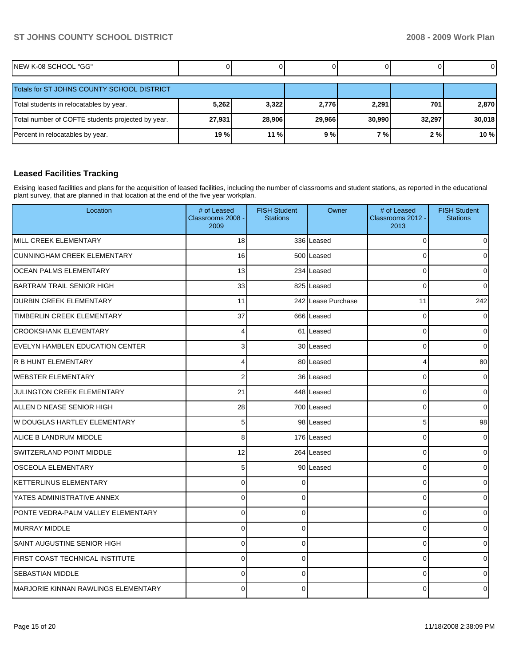| INEW K-08 SCHOOL "GG"                             |        |        |        |        |        | $\overline{0}$ |
|---------------------------------------------------|--------|--------|--------|--------|--------|----------------|
| Totals for ST JOHNS COUNTY SCHOOL DISTRICT        |        |        |        |        |        |                |
| Total students in relocatables by year.           | 5,262  | 3,322  | 2,776  | 2,291  | 701    | 2,870          |
| Total number of COFTE students projected by year. | 27,931 | 28,906 | 29,966 | 30,990 | 32,297 | 30,018         |
| Percent in relocatables by year.                  | 19 %   | 11 %   | 9%     | 7%1    | 2%     | 10 %           |

### **Leased Facilities Tracking**

Exising leased facilities and plans for the acquisition of leased facilities, including the number of classrooms and student stations, as reported in the educational plant survey, that are planned in that location at the end of the five year workplan.

| Location                                   | # of Leased<br>Classrooms 2008 -<br>2009 | <b>FISH Student</b><br><b>Stations</b> | Owner              | # of Leased<br>Classrooms 2012 -<br>2013 | <b>FISH Student</b><br><b>Stations</b> |
|--------------------------------------------|------------------------------------------|----------------------------------------|--------------------|------------------------------------------|----------------------------------------|
| MILL CREEK ELEMENTARY                      | 18                                       |                                        | 336 Leased         | $\overline{0}$                           | $\Omega$                               |
| <b>CUNNINGHAM CREEK ELEMENTARY</b>         | 16                                       |                                        | 500 Leased         | $\overline{0}$                           | $\Omega$                               |
| <b>OCEAN PALMS ELEMENTARY</b>              | 13                                       |                                        | 234 Leased         | $\mathbf 0$                              | $\Omega$                               |
| BARTRAM TRAIL SENIOR HIGH                  | 33                                       |                                        | 825 Leased         | $\Omega$                                 | $\Omega$                               |
| <b>DURBIN CREEK ELEMENTARY</b>             | 11                                       |                                        | 242 Lease Purchase | 11                                       | 242                                    |
| TIMBERLIN CREEK ELEMENTARY                 | 37                                       |                                        | 666 Leased         | $\mathbf 0$                              | $\Omega$                               |
| <b>CROOKSHANK ELEMENTARY</b>               | 4                                        |                                        | 61 Leased          | 0                                        | 0                                      |
| EVELYN HAMBLEN EDUCATION CENTER            | 3                                        |                                        | 30 Leased          | 0                                        | $\Omega$                               |
| R B HUNT ELEMENTARY                        | 4                                        |                                        | 80 Leased          | 4                                        | 80                                     |
| <b>WEBSTER ELEMENTARY</b>                  | $\overline{2}$                           |                                        | 36 Leased          | $\mathbf 0$                              | 0                                      |
| JULINGTON CREEK ELEMENTARY                 | 21                                       |                                        | 448 Leased         | $\mathbf 0$                              | 0                                      |
| ALLEN D NEASE SENIOR HIGH                  | 28                                       |                                        | 700 Leased         | $\mathbf 0$                              | $\Omega$                               |
| W DOUGLAS HARTLEY ELEMENTARY               | 5                                        |                                        | 98 Leased          | 5                                        | 98                                     |
| ALICE B LANDRUM MIDDLE                     | 8                                        |                                        | 176 Leased         | $\mathbf 0$                              | $\Omega$                               |
| SWITZERLAND POINT MIDDLE                   | 12                                       |                                        | 264 Leased         | $\mathbf 0$                              | $\Omega$                               |
| <b>OSCEOLA ELEMENTARY</b>                  | 5                                        |                                        | 90 Leased          | $\mathbf 0$                              | $\Omega$                               |
| <b>KETTERLINUS ELEMENTARY</b>              | $\Omega$                                 | $\Omega$                               |                    | $\Omega$                                 | $\Omega$                               |
| YATES ADMINISTRATIVE ANNEX                 | $\overline{0}$                           | $\Omega$                               |                    | $\mathbf 0$                              | $\Omega$                               |
| PONTE VEDRA-PALM VALLEY ELEMENTARY         | $\Omega$                                 | $\Omega$                               |                    | $\Omega$                                 | $\Omega$                               |
| IMURRAY MIDDLE                             | $\mathbf{0}$                             | $\Omega$                               |                    | $\mathbf 0$                              | $\Omega$                               |
| <b>SAINT AUGUSTINE SENIOR HIGH</b>         | $\Omega$                                 | $\Omega$                               |                    | $\Omega$                                 | $\Omega$                               |
| FIRST COAST TECHNICAL INSTITUTE            | 0                                        | 0                                      |                    | 0                                        | $\Omega$                               |
| SEBASTIAN MIDDLE                           | 0                                        | $\Omega$                               |                    | 0                                        | 0                                      |
| <b>MARJORIE KINNAN RAWLINGS ELEMENTARY</b> | $\Omega$                                 | 0                                      |                    | 0                                        | 0                                      |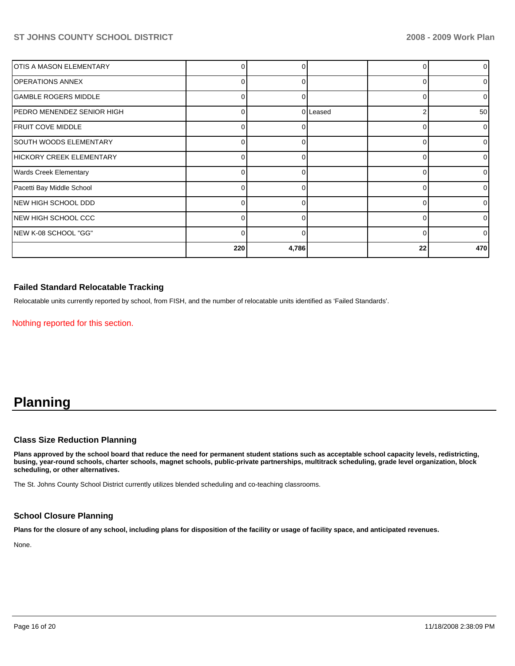| ÍOTIS A MASON ELEMENTARY          |              | 0        |          | $\Omega$       |     |
|-----------------------------------|--------------|----------|----------|----------------|-----|
| <b>IOPERATIONS ANNEX</b>          |              | 0        |          | 0              |     |
| <b>GAMBLE ROGERS MIDDLE</b>       | 0            | 0        |          | 0              |     |
| <b>PEDRO MENENDEZ SENIOR HIGH</b> | 0            |          | 0 Leased | $\overline{2}$ | 50  |
| <b>FRUIT COVE MIDDLE</b>          |              | O        |          | 0              |     |
| SOUTH WOODS ELEMENTARY            |              | U        |          | 0              |     |
| HICKORY CREEK ELEMENTARY          | 0            | $\Omega$ |          | 0              | n   |
| <b>Wards Creek Elementary</b>     | 0            | 0        |          | 0              |     |
| Pacetti Bay Middle School         |              | 0        |          | 0              |     |
| NEW HIGH SCHOOL DDD               | <sup>n</sup> | 0        |          | 0              |     |
| NEW HIGH SCHOOL CCC               | 0            | 0        |          | 0              | 0   |
| NEW K-08 SCHOOL "GG"              |              | U        |          | $\Omega$       |     |
|                                   | 220          | 4,786    |          | 22             | 470 |

### **Failed Standard Relocatable Tracking**

Relocatable units currently reported by school, from FISH, and the number of relocatable units identified as 'Failed Standards'.

Nothing reported for this section.

## **Planning**

#### **Class Size Reduction Planning**

**Plans approved by the school board that reduce the need for permanent student stations such as acceptable school capacity levels, redistricting, busing, year-round schools, charter schools, magnet schools, public-private partnerships, multitrack scheduling, grade level organization, block scheduling, or other alternatives.** 

The St. Johns County School District currently utilizes blended scheduling and co-teaching classrooms.

## **School Closure Planning**

**Plans for the closure of any school, including plans for disposition of the facility or usage of facility space, and anticipated revenues.** 

None.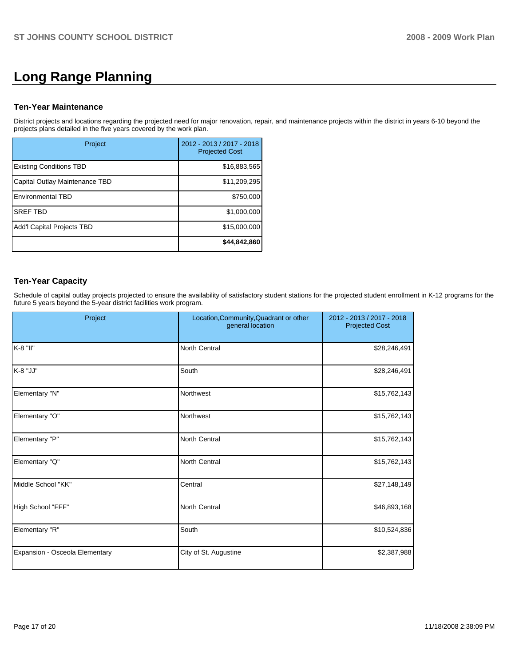# **Long Range Planning**

#### **Ten-Year Maintenance**

District projects and locations regarding the projected need for major renovation, repair, and maintenance projects within the district in years 6-10 beyond the projects plans detailed in the five years covered by the work plan.

| Project                        | 2012 - 2013 / 2017 - 2018<br><b>Projected Cost</b> |
|--------------------------------|----------------------------------------------------|
| <b>Existing Conditions TBD</b> | \$16,883,565                                       |
| Capital Outlay Maintenance TBD | \$11,209,295                                       |
| Environmental TBD              | \$750,000                                          |
| <b>SREF TBD</b>                | \$1,000,000                                        |
| Add'l Capital Projects TBD     | \$15,000,000                                       |
|                                | \$44,842,860                                       |

## **Ten-Year Capacity**

Schedule of capital outlay projects projected to ensure the availability of satisfactory student stations for the projected student enrollment in K-12 programs for the future 5 years beyond the 5-year district facilities work program.

| Project                        | Location, Community, Quadrant or other<br>general location | 2012 - 2013 / 2017 - 2018<br><b>Projected Cost</b> |  |
|--------------------------------|------------------------------------------------------------|----------------------------------------------------|--|
| K-8 "II"                       | <b>North Central</b>                                       | \$28,246,491                                       |  |
| K-8 "JJ"                       | South                                                      | \$28,246,491                                       |  |
| Elementary "N"                 | Northwest                                                  | \$15,762,143                                       |  |
| Elementary "O"                 | Northwest                                                  | \$15,762,143                                       |  |
| Elementary "P"                 | <b>North Central</b>                                       | \$15,762,143                                       |  |
| Elementary "Q"                 | <b>North Central</b>                                       | \$15,762,143                                       |  |
| Middle School "KK"             | Central                                                    | \$27,148,149                                       |  |
| High School "FFF"              | <b>North Central</b>                                       | \$46,893,168                                       |  |
| Elementary "R"                 | South                                                      | \$10,524,836                                       |  |
| Expansion - Osceola Elementary | City of St. Augustine                                      | \$2,387,988                                        |  |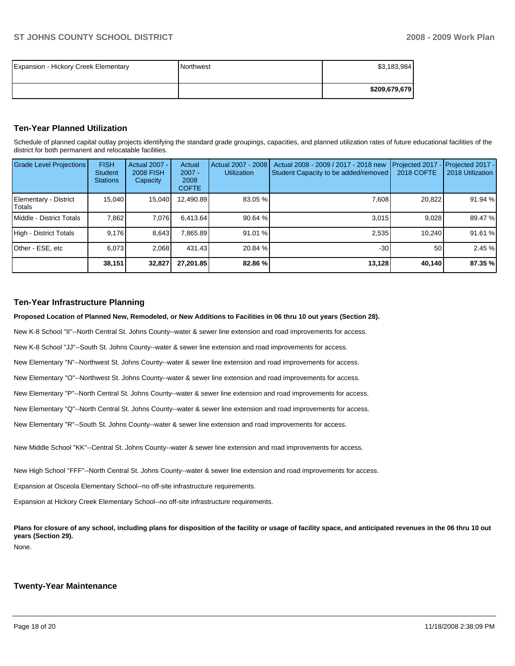| Expansion - Hickory Creek Elementary | Northwest | \$3,183,984   |
|--------------------------------------|-----------|---------------|
|                                      |           | \$209,679,679 |

#### **Ten-Year Planned Utilization**

Schedule of planned capital outlay projects identifying the standard grade groupings, capacities, and planned utilization rates of future educational facilities of the district for both permanent and relocatable facilities.

| Grade Level Projections         | <b>FISH</b><br><b>Student</b><br><b>Stations</b> | <b>Actual 2007 -</b><br><b>2008 FISH</b><br>Capacity | Actual<br>$2007 -$<br>2008<br><b>COFTE</b> | Actual 2007 - 2008<br><b>Utilization</b> | Actual 2008 - 2009 / 2017 - 2018 new<br>Student Capacity to be added/removed | Projected 2017 - Projected 2017 -<br>2018 COFTE | 2018 Utilization |
|---------------------------------|--------------------------------------------------|------------------------------------------------------|--------------------------------------------|------------------------------------------|------------------------------------------------------------------------------|-------------------------------------------------|------------------|
| Elementary - District<br>Totals | 15.040                                           | 15,040                                               | 12.490.89                                  | 83.05 %                                  | 7,608                                                                        | 20,822                                          | 91.94 %          |
| Middle - District Totals        | 7.862                                            | 7.076                                                | 6.413.64                                   | 90.64 %                                  | 3.015                                                                        | 9.028                                           | 89.47 %          |
| High - District Totals          | 9.176                                            | 8.643                                                | 7.865.89                                   | 91.01 %                                  | 2.535                                                                        | 10.240                                          | 91.61 %          |
| Other - ESE, etc                | 6.073<br>2.068<br>431.43<br>20.84 %              | $-30$                                                | 50                                         | 2.45 %                                   |                                                                              |                                                 |                  |
|                                 | 38,151                                           | 32,827                                               | 27,201.85                                  | 82.86 %                                  | 13,128                                                                       | 40.140                                          | 87.35 %          |

#### **Ten-Year Infrastructure Planning**

**Proposed Location of Planned New, Remodeled, or New Additions to Facilities in 06 thru 10 out years (Section 28).** 

New K-8 School "II"--North Central St. Johns County--water & sewer line extension and road improvements for access.

New K-8 School "JJ"--South St. Johns County--water & sewer line extension and road improvements for access.

New Elementary "N"--Northwest St. Johns County--water & sewer line extension and road improvements for access.

New Elementary "O"--Northwest St. Johns County--water & sewer line extension and road improvements for access.

New Elementary "P"--North Central St. Johns County--water & sewer line extension and road improvements for access.

New Elementary "Q"--North Central St. Johns County--water & sewer line extension and road improvements for access.

New Elementary "R"--South St. Johns County--water & sewer line extension and road improvements for access.

New Middle School "KK"--Central St. Johns County--water & sewer line extension and road improvements for access.

New High School "FFF"--North Central St. Johns County--water & sewer line extension and road improvements for access.

Expansion at Osceola Elementary School--no off-site infrastructure requirements.

Expansion at Hickory Creek Elementary School--no off-site infrastructure requirements.

Plans for closure of any school, including plans for disposition of the facility or usage of facility space, and anticipated revenues in the 06 thru 10 out **years (Section 29).** 

None.

#### **Twenty-Year Maintenance**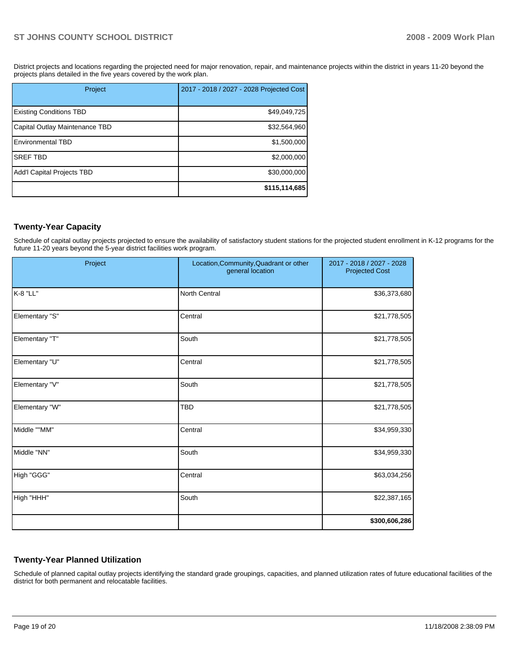District projects and locations regarding the projected need for major renovation, repair, and maintenance projects within the district in years 11-20 beyond the projects plans detailed in the five years covered by the work plan.

| Project                        | 2017 - 2018 / 2027 - 2028 Projected Cost |
|--------------------------------|------------------------------------------|
| <b>Existing Conditions TBD</b> | \$49,049,725                             |
| Capital Outlay Maintenance TBD | \$32,564,960                             |
| Environmental TBD              | \$1,500,000                              |
| <b>SREF TBD</b>                | \$2,000,000                              |
| Add'I Capital Projects TBD     | \$30,000,000                             |
|                                | \$115,114,685                            |

## **Twenty-Year Capacity**

Schedule of capital outlay projects projected to ensure the availability of satisfactory student stations for the projected student enrollment in K-12 programs for the future 11-20 years beyond the 5-year district facilities work program.

| Project        | Location, Community, Quadrant or other<br>general location | 2017 - 2018 / 2027 - 2028<br><b>Projected Cost</b> |  |
|----------------|------------------------------------------------------------|----------------------------------------------------|--|
| K-8 "LL"       | <b>North Central</b>                                       | \$36,373,680                                       |  |
| Elementary "S" | Central                                                    | \$21,778,505                                       |  |
| Elementary "T" | South                                                      | \$21,778,505                                       |  |
| Elementary "U" | Central                                                    | \$21,778,505                                       |  |
| Elementary "V" | South                                                      | \$21,778,505                                       |  |
| Elementary "W" | <b>TBD</b>                                                 | \$21,778,505                                       |  |
| IMiddle ""MM"  | Central                                                    | \$34,959,330                                       |  |
| Middle "NN"    | South                                                      | \$34,959,330                                       |  |
| High "GGG"     | Central                                                    | \$63,034,256                                       |  |
| High "HHH"     | South                                                      | \$22,387,165                                       |  |
|                |                                                            | \$300,606,286                                      |  |

## **Twenty-Year Planned Utilization**

Schedule of planned capital outlay projects identifying the standard grade groupings, capacities, and planned utilization rates of future educational facilities of the district for both permanent and relocatable facilities.